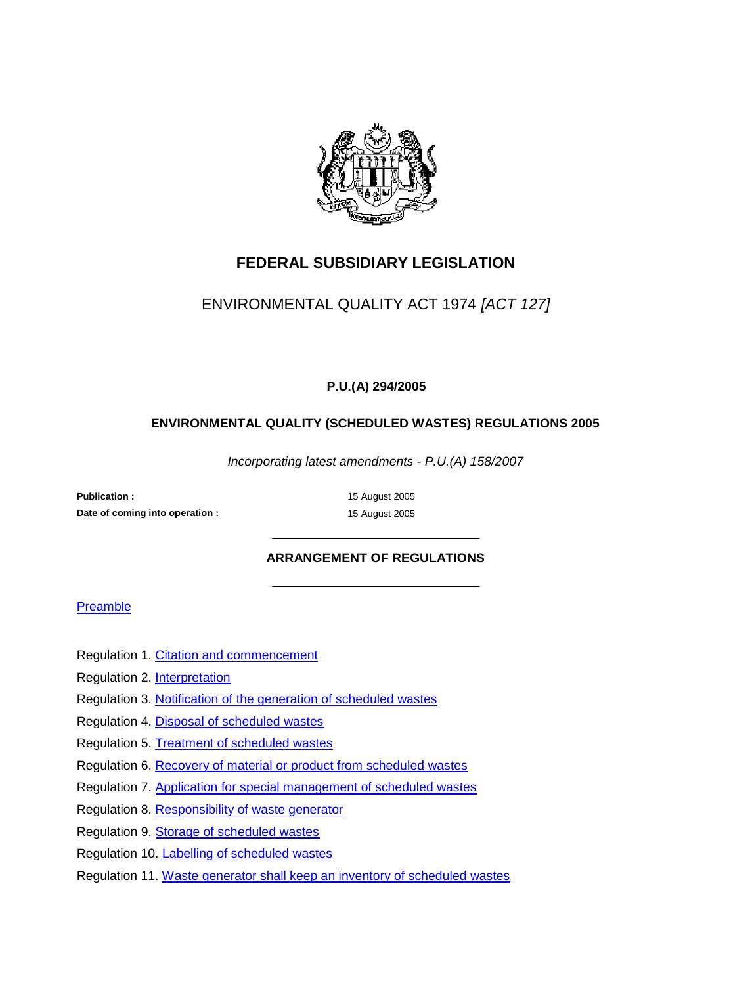

## **FEDERAL SUBSIDIARY LEGISLATION**

## ENVIRONMENTAL QUALITY ACT 1974 *[ACT 127]*

### **P.U.(A) 294/2005**

### **ENVIRONMENTAL QUALITY (SCHEDULED WASTES) REGULATIONS 2005**

*Incorporating latest amendments - P.U.(A) 158/2007*

Publication : 15 August 2005 **Date of coming into operation : 15 August 2005** 

### **ARRANGEMENT OF REGULATIONS**

#### Preamble

- Regulation 1. Citation and commencement
- Regulation 2. Interpretation
- Regulation 3. Notification of the generation of scheduled wastes
- Regulation 4. Disposal of scheduled wastes
- Regulation 5. Treatment of scheduled wastes
- Regulation 6. Recovery of material or product from scheduled wastes
- Regulation 7. Application for special management of scheduled wastes
- Regulation 8. Responsibility of waste generator
- Regulation 9. Storage of scheduled wastes
- Regulation 10. Labelling of scheduled wastes
- Regulation 11. Waste generator shall keep an inventory of scheduled wastes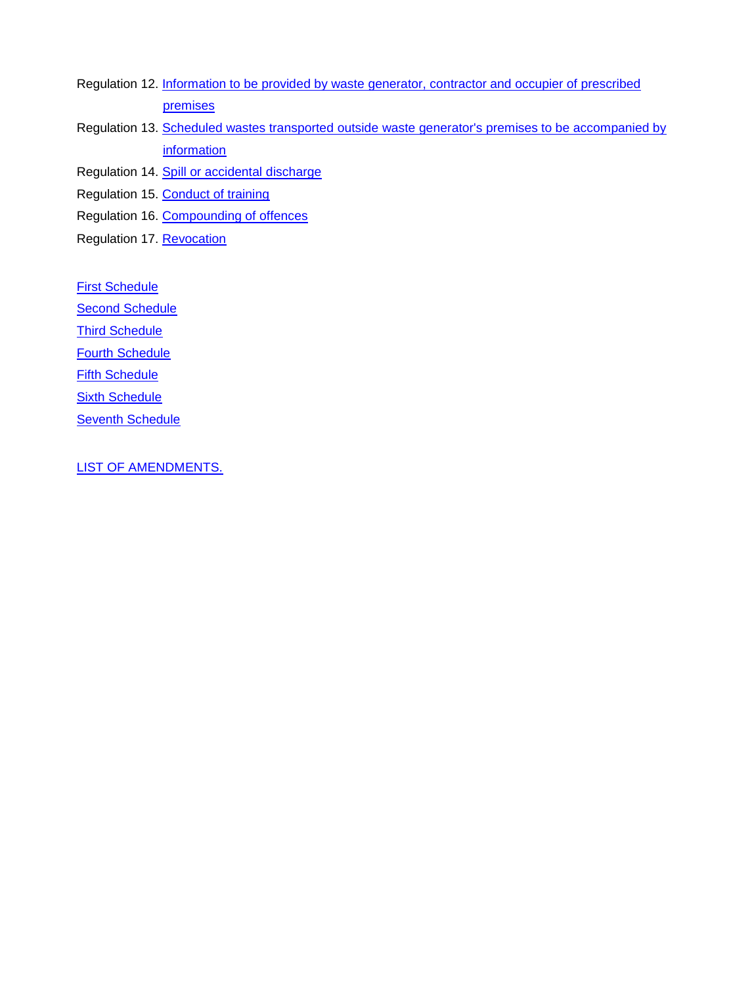- Regulation 12. Information to be provided by waste generator, contractor and occupier of prescribed premises
- Regulation 13. Scheduled wastes transported outside waste generator's premises to be accompanied by information

Regulation 14. Spill or accidental discharge

Regulation 15. Conduct of training

Regulation 16. Compounding of offences

Regulation 17. Revocation

**First Schedule** 

**Second Schedule** 

**Third Schedule** 

Fourth Schedule

**Fifth Schedule** 

**Sixth Schedule** 

**Seventh Schedule** 

LIST OF AMENDMENTS.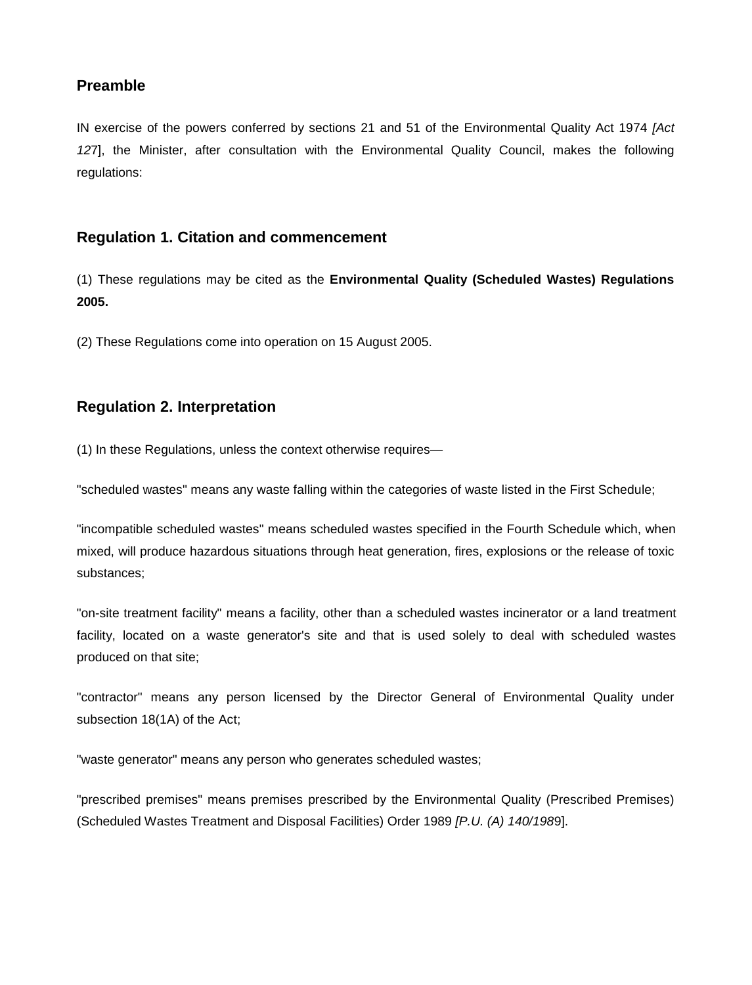## **Preamble**

IN exercise of the powers conferred by sections 21 and 51 of the Environmental Quality Act 1974 *[Act 12*7], the Minister, after consultation with the Environmental Quality Council, makes the following regulations:

### **Regulation 1. Citation and commencement**

(1) These regulations may be cited as the **Environmental Quality (Scheduled Wastes) Regulations 2005.**

(2) These Regulations come into operation on 15 August 2005.

### **Regulation 2. Interpretation**

(1) In these Regulations, unless the context otherwise requires—

"scheduled wastes" means any waste falling within the categories of waste listed in the First Schedule;

"incompatible scheduled wastes" means scheduled wastes specified in the Fourth Schedule which, when mixed, will produce hazardous situations through heat generation, fires, explosions or the release of toxic substances;

"on-site treatment facility" means a facility, other than a scheduled wastes incinerator or a land treatment facility, located on a waste generator's site and that is used solely to deal with scheduled wastes produced on that site;

"contractor" means any person licensed by the Director General of Environmental Quality under subsection 18(1A) of the Act;

"waste generator" means any person who generates scheduled wastes;

"prescribed premises" means premises prescribed by the Environmental Quality (Prescribed Premises) (Scheduled Wastes Treatment and Disposal Facilities) Order 1989 *[P.U. (A) 140/198*9].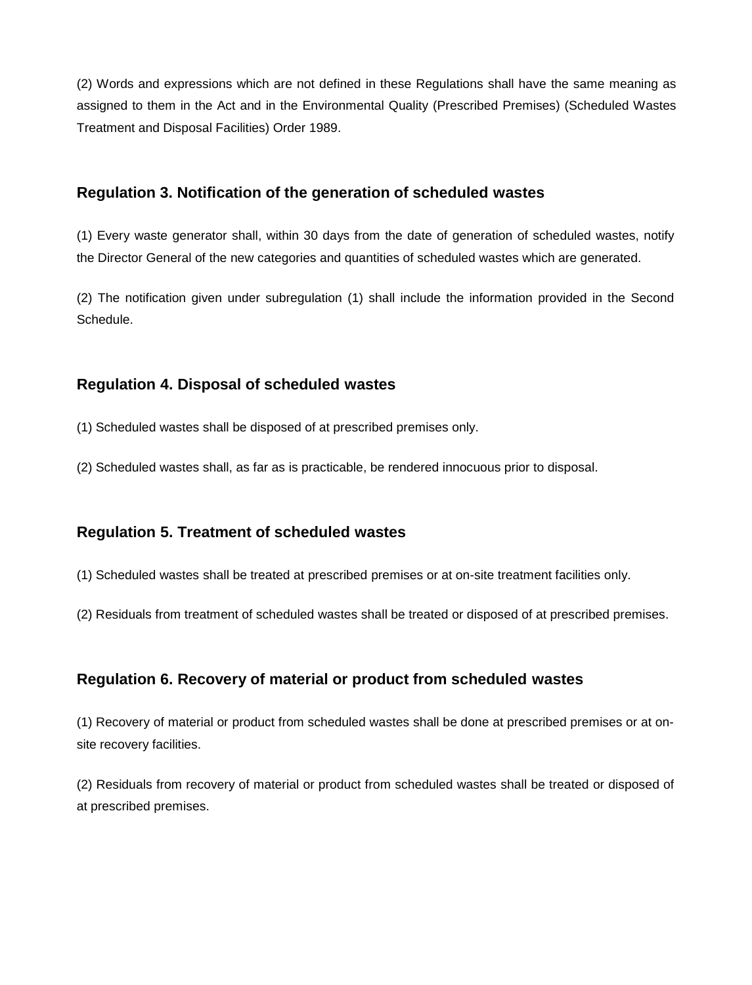(2) Words and expressions which are not defined in these Regulations shall have the same meaning as assigned to them in the Act and in the Environmental Quality (Prescribed Premises) (Scheduled Wastes Treatment and Disposal Facilities) Order 1989.

## **Regulation 3. Notification of the generation of scheduled wastes**

(1) Every waste generator shall, within 30 days from the date of generation of scheduled wastes, notify the Director General of the new categories and quantities of scheduled wastes which are generated.

(2) The notification given under subregulation (1) shall include the information provided in the Second Schedule.

## **Regulation 4. Disposal of scheduled wastes**

(1) Scheduled wastes shall be disposed of at prescribed premises only.

(2) Scheduled wastes shall, as far as is practicable, be rendered innocuous prior to disposal.

## **Regulation 5. Treatment of scheduled wastes**

(1) Scheduled wastes shall be treated at prescribed premises or at on-site treatment facilities only.

(2) Residuals from treatment of scheduled wastes shall be treated or disposed of at prescribed premises.

## **Regulation 6. Recovery of material or product from scheduled wastes**

(1) Recovery of material or product from scheduled wastes shall be done at prescribed premises or at onsite recovery facilities.

(2) Residuals from recovery of material or product from scheduled wastes shall be treated or disposed of at prescribed premises.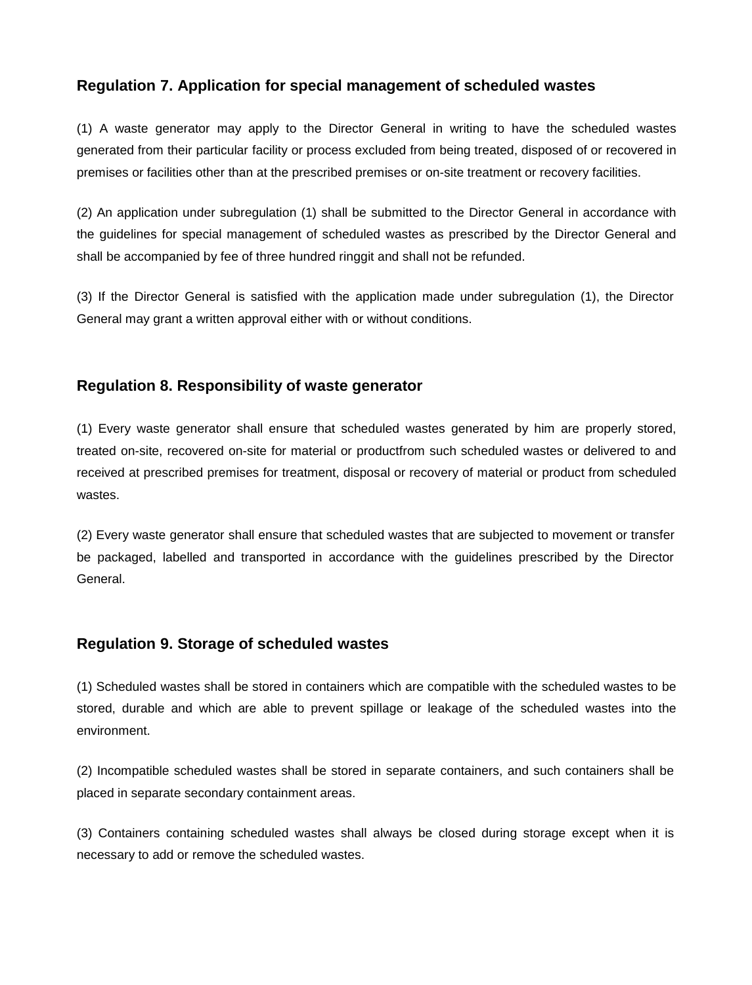## **Regulation 7. Application for special management of scheduled wastes**

(1) A waste generator may apply to the Director General in writing to have the scheduled wastes generated from their particular facility or process excluded from being treated, disposed of or recovered in premises or facilities other than at the prescribed premises or on-site treatment or recovery facilities.

(2) An application under subregulation (1) shall be submitted to the Director General in accordance with the guidelines for special management of scheduled wastes as prescribed by the Director General and shall be accompanied by fee of three hundred ringgit and shall not be refunded.

(3) If the Director General is satisfied with the application made under subregulation (1), the Director General may grant a written approval either with or without conditions.

### **Regulation 8. Responsibility of waste generator**

(1) Every waste generator shall ensure that scheduled wastes generated by him are properly stored, treated on-site, recovered on-site for material or productfrom such scheduled wastes or delivered to and received at prescribed premises for treatment, disposal or recovery of material or product from scheduled wastes.

(2) Every waste generator shall ensure that scheduled wastes that are subjected to movement or transfer be packaged, labelled and transported in accordance with the guidelines prescribed by the Director General.

### **Regulation 9. Storage of scheduled wastes**

(1) Scheduled wastes shall be stored in containers which are compatible with the scheduled wastes to be stored, durable and which are able to prevent spillage or leakage of the scheduled wastes into the environment.

(2) Incompatible scheduled wastes shall be stored in separate containers, and such containers shall be placed in separate secondary containment areas.

(3) Containers containing scheduled wastes shall always be closed during storage except when it is necessary to add or remove the scheduled wastes.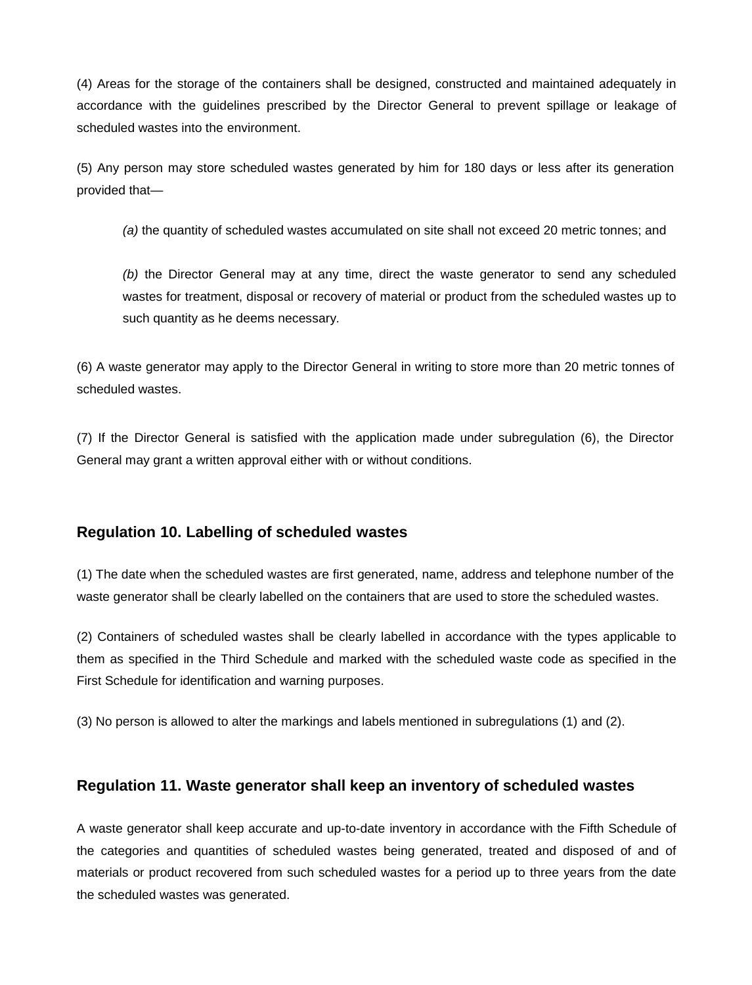(4) Areas for the storage of the containers shall be designed, constructed and maintained adequately in accordance with the guidelines prescribed by the Director General to prevent spillage or leakage of scheduled wastes into the environment.

(5) Any person may store scheduled wastes generated by him for 180 days or less after its generation provided that—

*(a)* the quantity of scheduled wastes accumulated on site shall not exceed 20 metric tonnes; and

*(b)* the Director General may at any time, direct the waste generator to send any scheduled wastes for treatment, disposal or recovery of material or product from the scheduled wastes up to such quantity as he deems necessary.

(6) A waste generator may apply to the Director General in writing to store more than 20 metric tonnes of scheduled wastes.

(7) If the Director General is satisfied with the application made under subregulation (6), the Director General may grant a written approval either with or without conditions.

### **Regulation 10. Labelling of scheduled wastes**

(1) The date when the scheduled wastes are first generated, name, address and telephone number of the waste generator shall be clearly labelled on the containers that are used to store the scheduled wastes.

(2) Containers of scheduled wastes shall be clearly labelled in accordance with the types applicable to them as specified in the Third Schedule and marked with the scheduled waste code as specified in the First Schedule for identification and warning purposes.

(3) No person is allowed to alter the markings and labels mentioned in subregulations (1) and (2).

### **Regulation 11. Waste generator shall keep an inventory of scheduled wastes**

A waste generator shall keep accurate and up-to-date inventory in accordance with the Fifth Schedule of the categories and quantities of scheduled wastes being generated, treated and disposed of and of materials or product recovered from such scheduled wastes for a period up to three years from the date the scheduled wastes was generated.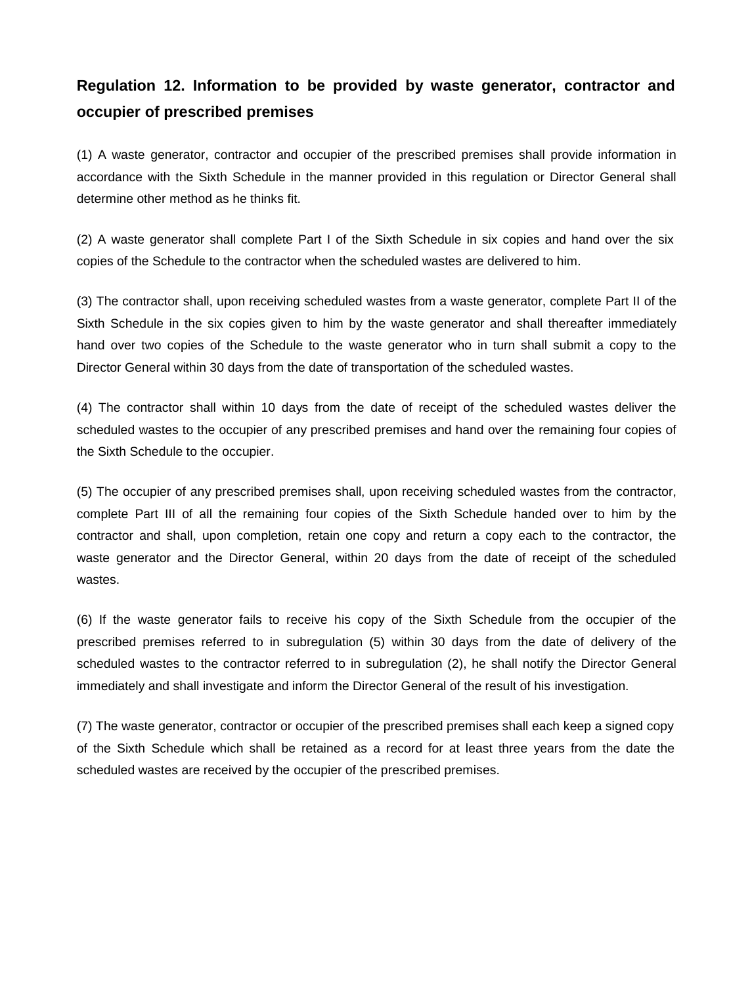# **Regulation 12. Information to be provided by waste generator, contractor and occupier of prescribed premises**

(1) A waste generator, contractor and occupier of the prescribed premises shall provide information in accordance with the Sixth Schedule in the manner provided in this regulation or Director General shall determine other method as he thinks fit.

(2) A waste generator shall complete Part I of the Sixth Schedule in six copies and hand over the six copies of the Schedule to the contractor when the scheduled wastes are delivered to him.

(3) The contractor shall, upon receiving scheduled wastes from a waste generator, complete Part II of the Sixth Schedule in the six copies given to him by the waste generator and shall thereafter immediately hand over two copies of the Schedule to the waste generator who in turn shall submit a copy to the Director General within 30 days from the date of transportation of the scheduled wastes.

(4) The contractor shall within 10 days from the date of receipt of the scheduled wastes deliver the scheduled wastes to the occupier of any prescribed premises and hand over the remaining four copies of the Sixth Schedule to the occupier.

(5) The occupier of any prescribed premises shall, upon receiving scheduled wastes from the contractor, complete Part III of all the remaining four copies of the Sixth Schedule handed over to him by the contractor and shall, upon completion, retain one copy and return a copy each to the contractor, the waste generator and the Director General, within 20 days from the date of receipt of the scheduled wastes.

(6) If the waste generator fails to receive his copy of the Sixth Schedule from the occupier of the prescribed premises referred to in subregulation (5) within 30 days from the date of delivery of the scheduled wastes to the contractor referred to in subregulation (2), he shall notify the Director General immediately and shall investigate and inform the Director General of the result of his investigation.

(7) The waste generator, contractor or occupier of the prescribed premises shall each keep a signed copy of the Sixth Schedule which shall be retained as a record for at least three years from the date the scheduled wastes are received by the occupier of the prescribed premises.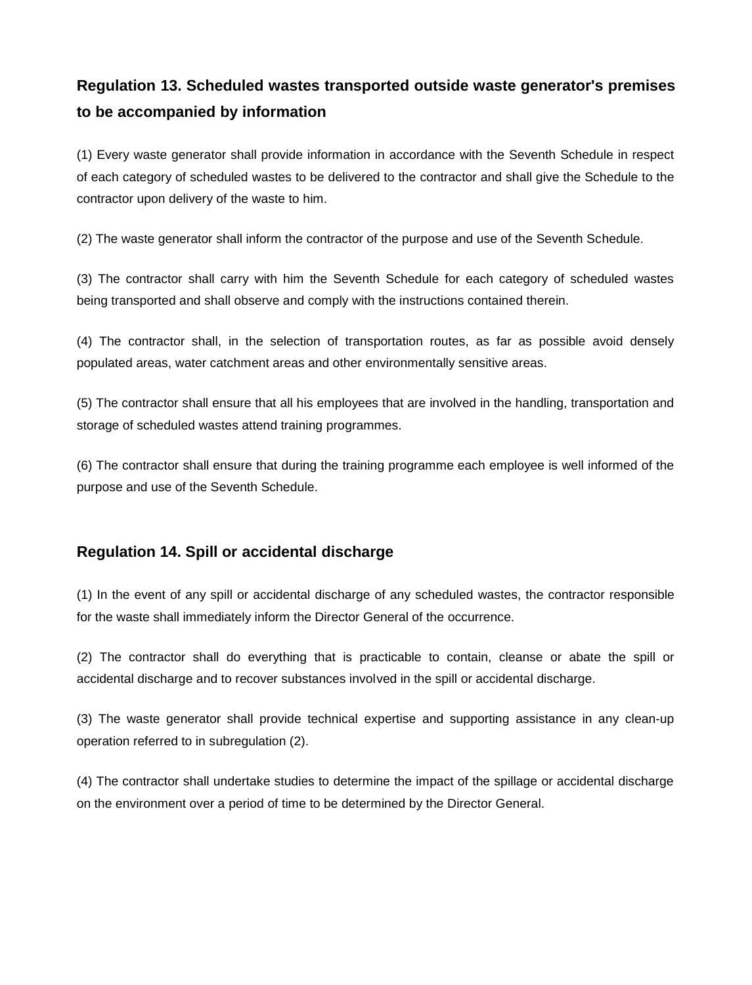# **Regulation 13. Scheduled wastes transported outside waste generator's premises to be accompanied by information**

(1) Every waste generator shall provide information in accordance with the Seventh Schedule in respect of each category of scheduled wastes to be delivered to the contractor and shall give the Schedule to the contractor upon delivery of the waste to him.

(2) The waste generator shall inform the contractor of the purpose and use of the Seventh Schedule.

(3) The contractor shall carry with him the Seventh Schedule for each category of scheduled wastes being transported and shall observe and comply with the instructions contained therein.

(4) The contractor shall, in the selection of transportation routes, as far as possible avoid densely populated areas, water catchment areas and other environmentally sensitive areas.

(5) The contractor shall ensure that all his employees that are involved in the handling, transportation and storage of scheduled wastes attend training programmes.

(6) The contractor shall ensure that during the training programme each employee is well informed of the purpose and use of the Seventh Schedule.

## **Regulation 14. Spill or accidental discharge**

(1) In the event of any spill or accidental discharge of any scheduled wastes, the contractor responsible for the waste shall immediately inform the Director General of the occurrence.

(2) The contractor shall do everything that is practicable to contain, cleanse or abate the spill or accidental discharge and to recover substances involved in the spill or accidental discharge.

(3) The waste generator shall provide technical expertise and supporting assistance in any clean-up operation referred to in subregulation (2).

(4) The contractor shall undertake studies to determine the impact of the spillage or accidental discharge on the environment over a period of time to be determined by the Director General.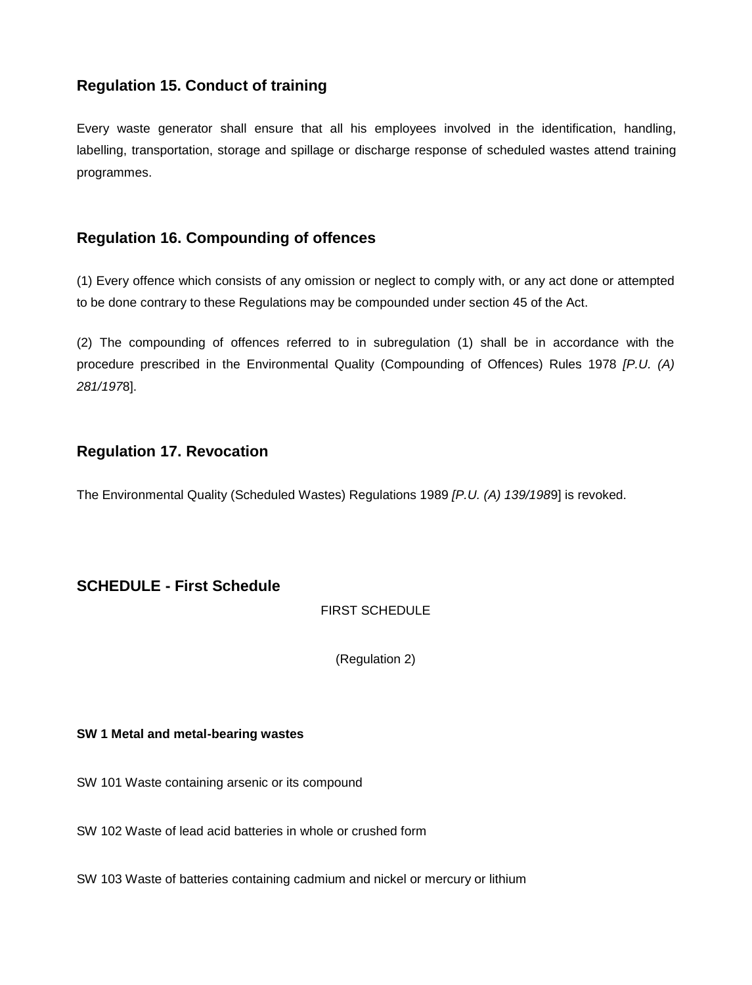## **Regulation 15. Conduct of training**

Every waste generator shall ensure that all his employees involved in the identification, handling, labelling, transportation, storage and spillage or discharge response of scheduled wastes attend training programmes.

## **Regulation 16. Compounding of offences**

(1) Every offence which consists of any omission or neglect to comply with, or any act done or attempted to be done contrary to these Regulations may be compounded under section 45 of the Act.

(2) The compounding of offences referred to in subregulation (1) shall be in accordance with the procedure prescribed in the Environmental Quality (Compounding of Offences) Rules 1978 *[P.U. (A) 281/197*8].

## **Regulation 17. Revocation**

The Environmental Quality (Scheduled Wastes) Regulations 1989 *[P.U. (A) 139/198*9] is revoked.

## **SCHEDULE - First Schedule**

FIRST SCHEDULE

(Regulation 2)

#### **SW 1 Metal and metal-bearing wastes**

SW 101 Waste containing arsenic or its compound

SW 102 Waste of lead acid batteries in whole or crushed form

SW 103 Waste of batteries containing cadmium and nickel or mercury or lithium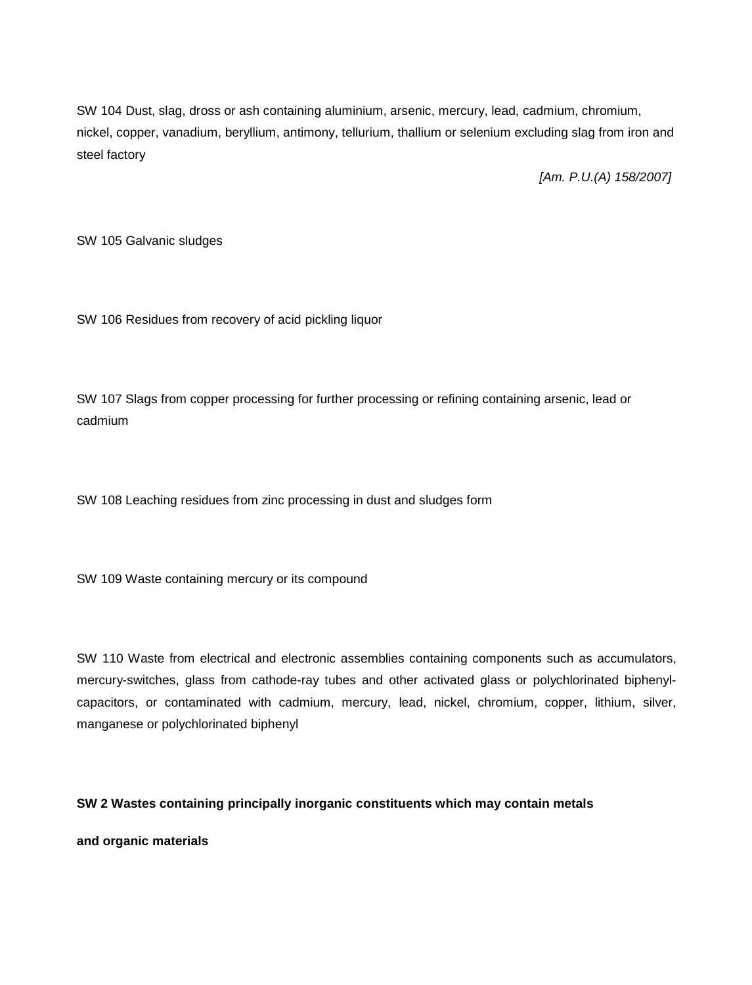SW 104 Dust, slag, dross or ash containing aluminium, arsenic, mercury, lead, cadmium, chromium, nickel, copper, vanadium, beryllium, antimony, tellurium, thallium or selenium excluding slag from iron and steel factory

*[Am. P.U.(A) 158/2007]*

SW 105 Galvanic sludges

SW 106 Residues from recovery of acid pickling liquor

SW 107 Slags from copper processing for further processing or refining containing arsenic, lead or cadmium

SW 108 Leaching residues from zinc processing in dust and sludges form

SW 109 Waste containing mercury or its compound

SW 110 Waste from electrical and electronic assemblies containing components such as accumulators, mercury-switches, glass from cathode-ray tubes and other activated glass or polychlorinated biphenylcapacitors, or contaminated with cadmium, mercury, lead, nickel, chromium, copper, lithium, silver, manganese or polychlorinated biphenyl

#### **SW 2 Wastes containing principally inorganic constituents which may contain metals**

**and organic materials**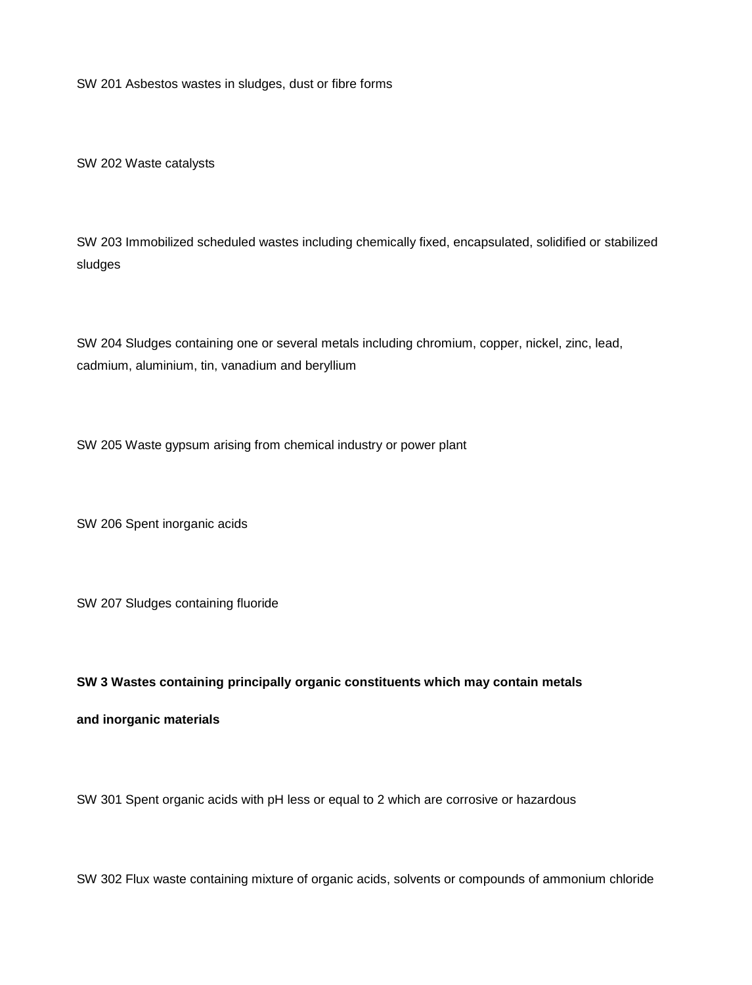SW 201 Asbestos wastes in sludges, dust or fibre forms

SW 202 Waste catalysts

SW 203 Immobilized scheduled wastes including chemically fixed, encapsulated, solidified or stabilized sludges

SW 204 Sludges containing one or several metals including chromium, copper, nickel, zinc, lead, cadmium, aluminium, tin, vanadium and beryllium

SW 205 Waste gypsum arising from chemical industry or power plant

SW 206 Spent inorganic acids

SW 207 Sludges containing fluoride

#### **SW 3 Wastes containing principally organic constituents which may contain metals**

#### **and inorganic materials**

SW 301 Spent organic acids with pH less or equal to 2 which are corrosive or hazardous

SW 302 Flux waste containing mixture of organic acids, solvents or compounds of ammonium chloride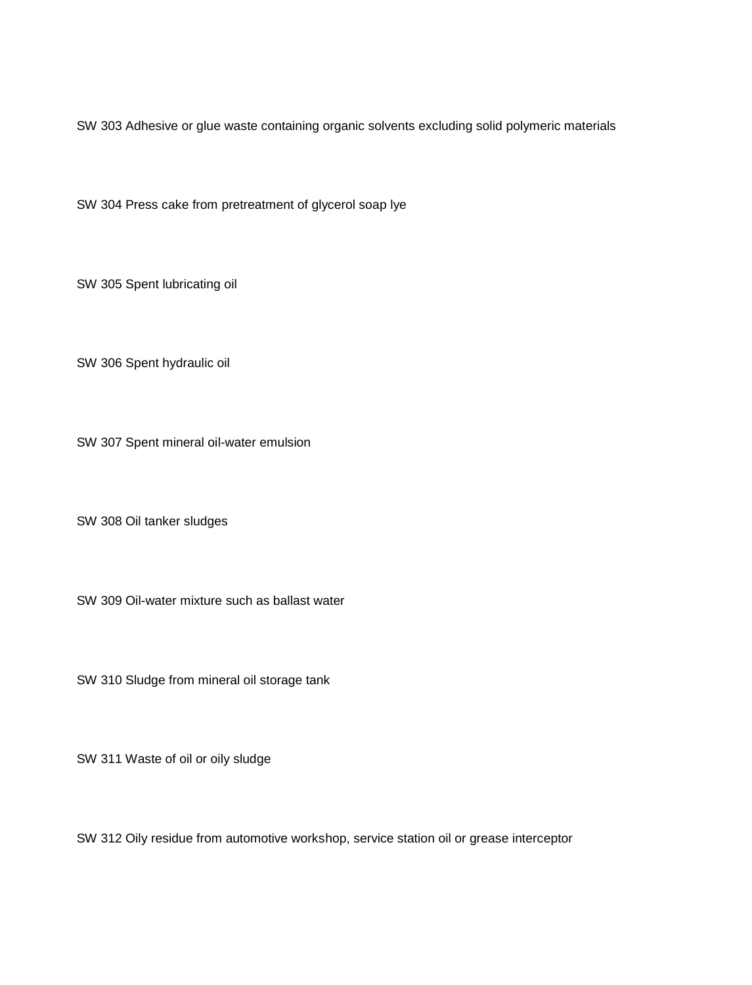SW 303 Adhesive or glue waste containing organic solvents excluding solid polymeric materials

SW 304 Press cake from pretreatment of glycerol soap lye

SW 305 Spent lubricating oil

SW 306 Spent hydraulic oil

SW 307 Spent mineral oil-water emulsion

SW 308 Oil tanker sludges

SW 309 Oil-water mixture such as ballast water

SW 310 Sludge from mineral oil storage tank

SW 311 Waste of oil or oily sludge

SW 312 Oily residue from automotive workshop, service station oil or grease interceptor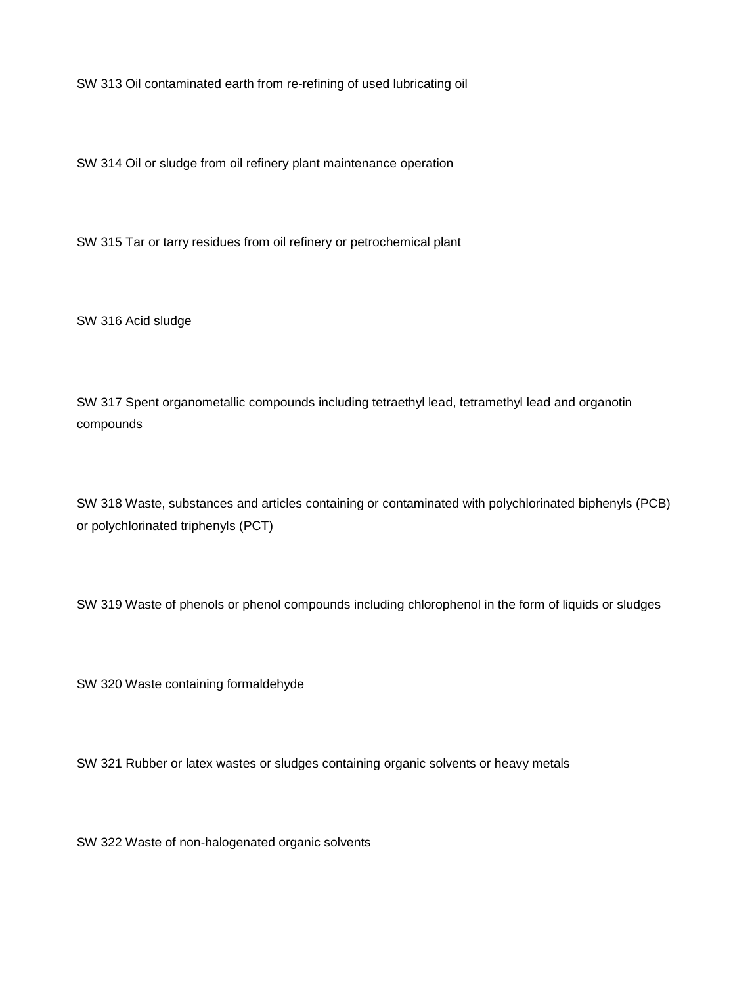SW 313 Oil contaminated earth from re-refining of used lubricating oil

SW 314 Oil or sludge from oil refinery plant maintenance operation

SW 315 Tar or tarry residues from oil refinery or petrochemical plant

SW 316 Acid sludge

SW 317 Spent organometallic compounds including tetraethyl lead, tetramethyl lead and organotin compounds

SW 318 Waste, substances and articles containing or contaminated with polychlorinated biphenyls (PCB) or polychlorinated triphenyls (PCT)

SW 319 Waste of phenols or phenol compounds including chlorophenol in the form of liquids or sludges

SW 320 Waste containing formaldehyde

SW 321 Rubber or latex wastes or sludges containing organic solvents or heavy metals

SW 322 Waste of non-halogenated organic solvents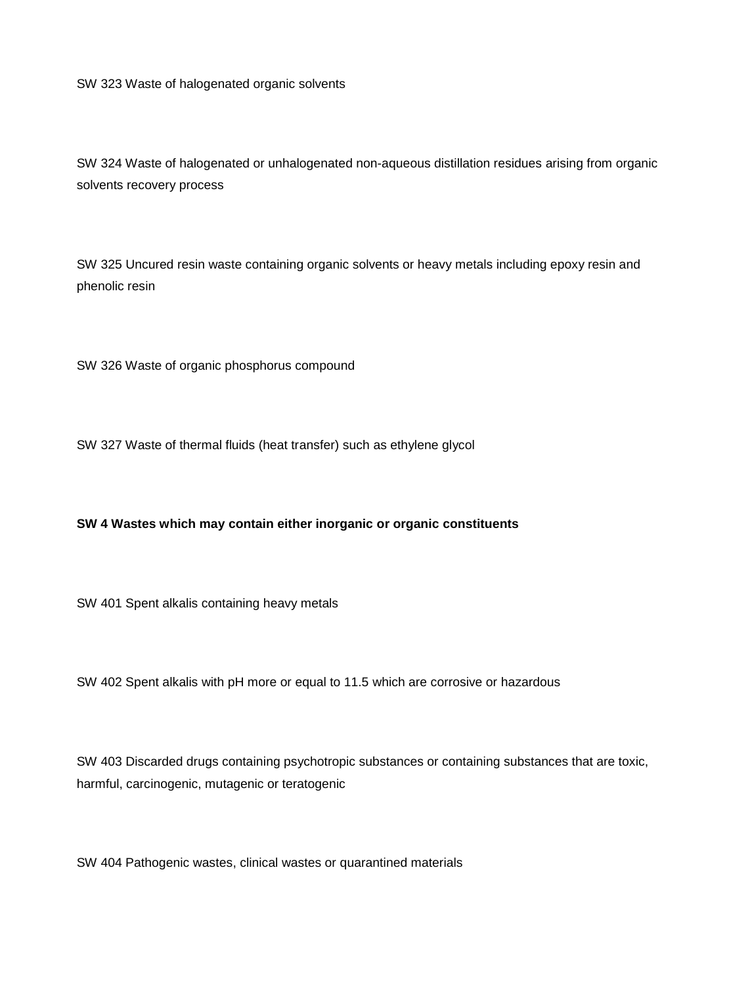SW 323 Waste of halogenated organic solvents

SW 324 Waste of halogenated or unhalogenated non-aqueous distillation residues arising from organic solvents recovery process

SW 325 Uncured resin waste containing organic solvents or heavy metals including epoxy resin and phenolic resin

SW 326 Waste of organic phosphorus compound

SW 327 Waste of thermal fluids (heat transfer) such as ethylene glycol

#### **SW 4 Wastes which may contain either inorganic or organic constituents**

SW 401 Spent alkalis containing heavy metals

SW 402 Spent alkalis with pH more or equal to 11.5 which are corrosive or hazardous

SW 403 Discarded drugs containing psychotropic substances or containing substances that are toxic, harmful, carcinogenic, mutagenic or teratogenic

SW 404 Pathogenic wastes, clinical wastes or quarantined materials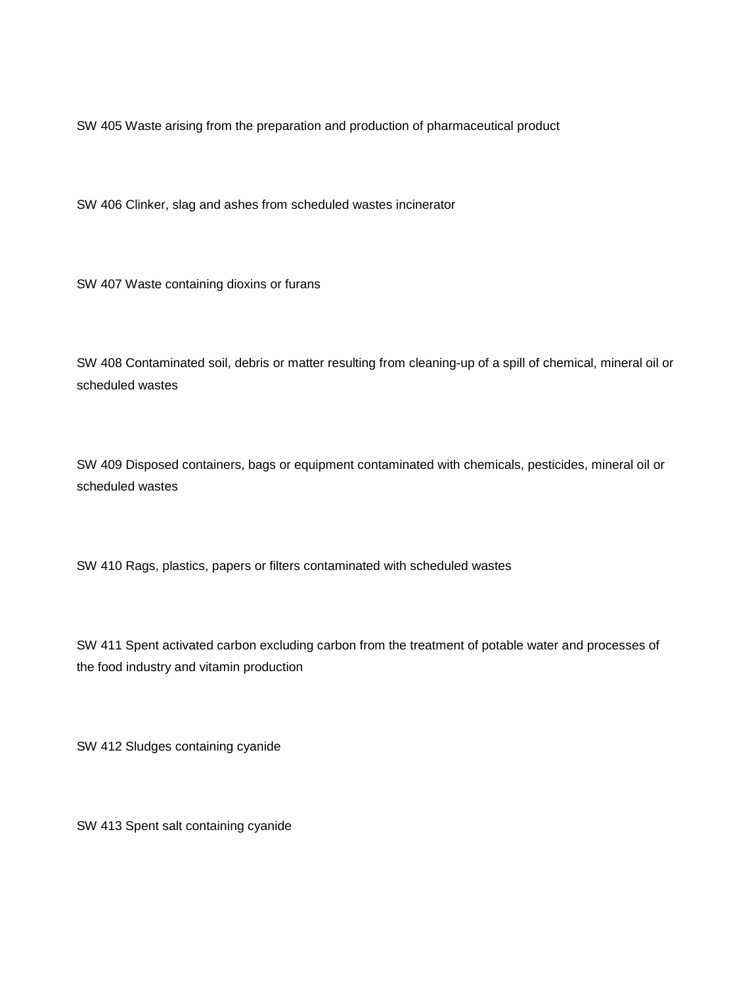SW 405 Waste arising from the preparation and production of pharmaceutical product

SW 406 Clinker, slag and ashes from scheduled wastes incinerator

SW 407 Waste containing dioxins or furans

SW 408 Contaminated soil, debris or matter resulting from cleaning-up of a spill of chemical, mineral oil or scheduled wastes

SW 409 Disposed containers, bags or equipment contaminated with chemicals, pesticides, mineral oil or scheduled wastes

SW 410 Rags, plastics, papers or filters contaminated with scheduled wastes

SW 411 Spent activated carbon excluding carbon from the treatment of potable water and processes of the food industry and vitamin production

SW 412 Sludges containing cyanide

SW 413 Spent salt containing cyanide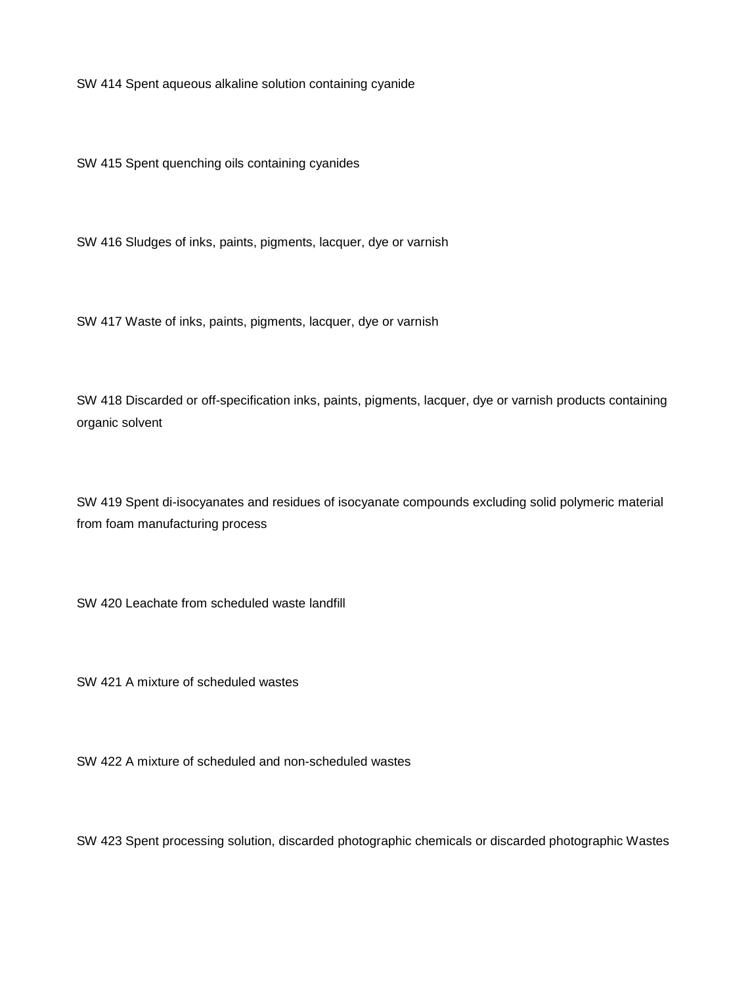SW 414 Spent aqueous alkaline solution containing cyanide

SW 415 Spent quenching oils containing cyanides

SW 416 Sludges of inks, paints, pigments, lacquer, dye or varnish

SW 417 Waste of inks, paints, pigments, lacquer, dye or varnish

SW 418 Discarded or off-specification inks, paints, pigments, lacquer, dye or varnish products containing organic solvent

SW 419 Spent di-isocyanates and residues of isocyanate compounds excluding solid polymeric material from foam manufacturing process

SW 420 Leachate from scheduled waste landfill

SW 421 A mixture of scheduled wastes

SW 422 A mixture of scheduled and non-scheduled wastes

SW 423 Spent processing solution, discarded photographic chemicals or discarded photographic Wastes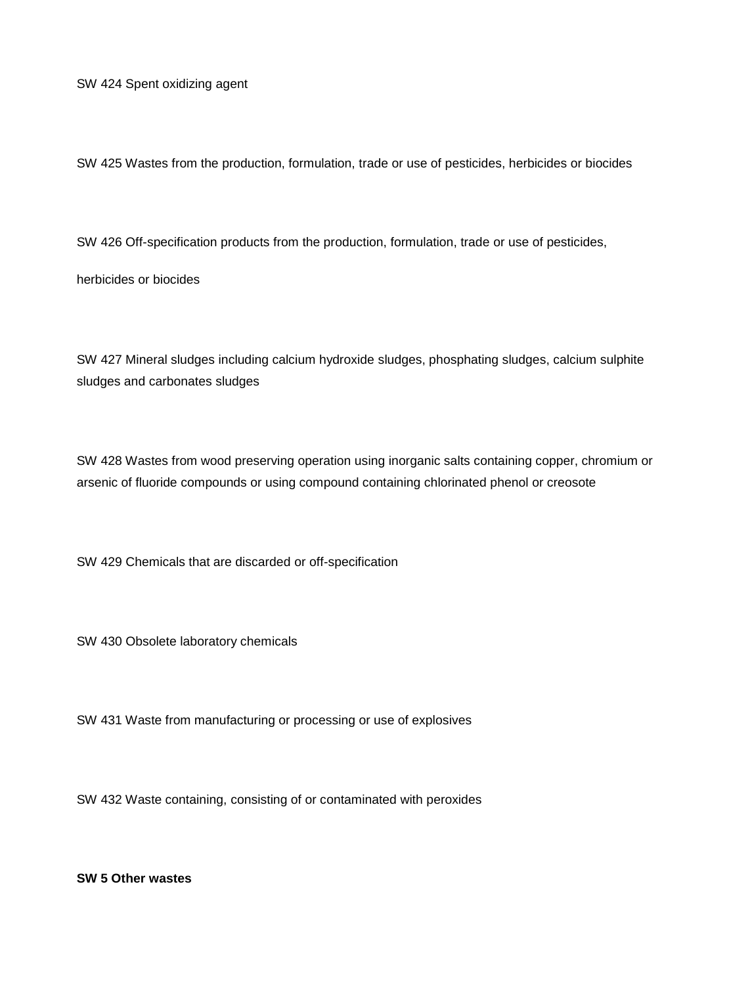SW 424 Spent oxidizing agent

SW 425 Wastes from the production, formulation, trade or use of pesticides, herbicides or biocides

SW 426 Off-specification products from the production, formulation, trade or use of pesticides,

herbicides or biocides

SW 427 Mineral sludges including calcium hydroxide sludges, phosphating sludges, calcium sulphite sludges and carbonates sludges

SW 428 Wastes from wood preserving operation using inorganic salts containing copper, chromium or arsenic of fluoride compounds or using compound containing chlorinated phenol or creosote

SW 429 Chemicals that are discarded or off-specification

SW 430 Obsolete laboratory chemicals

SW 431 Waste from manufacturing or processing or use of explosives

SW 432 Waste containing, consisting of or contaminated with peroxides

**SW 5 Other wastes**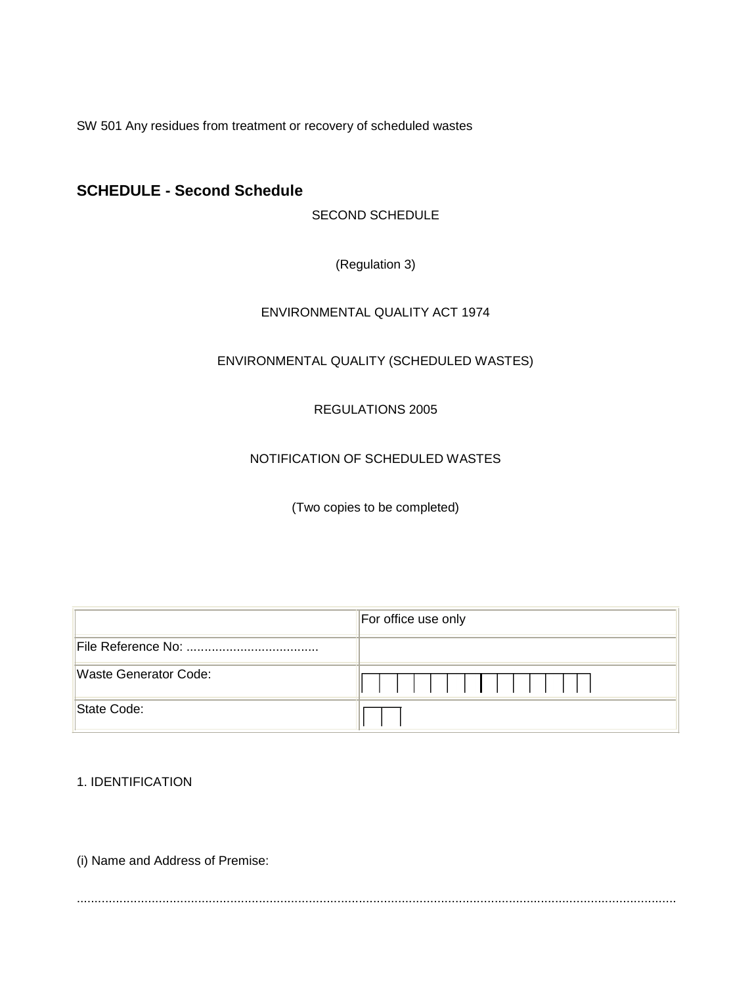SW 501 Any residues from treatment or recovery of scheduled wastes

## **SCHEDULE - Second Schedule**

SECOND SCHEDULE

(Regulation 3)

### ENVIRONMENTAL QUALITY ACT 1974

## ENVIRONMENTAL QUALITY (SCHEDULED WASTES)

#### REGULATIONS 2005

### NOTIFICATION OF SCHEDULED WASTES

(Two copies to be completed)

|                       | For office use only |  |  |  |  |  |
|-----------------------|---------------------|--|--|--|--|--|
|                       |                     |  |  |  |  |  |
| Waste Generator Code: | $\mathbf{1}$        |  |  |  |  |  |
| State Code:           |                     |  |  |  |  |  |

1. IDENTIFICATION

(i) Name and Address of Premise:

........................................................................................................................................................................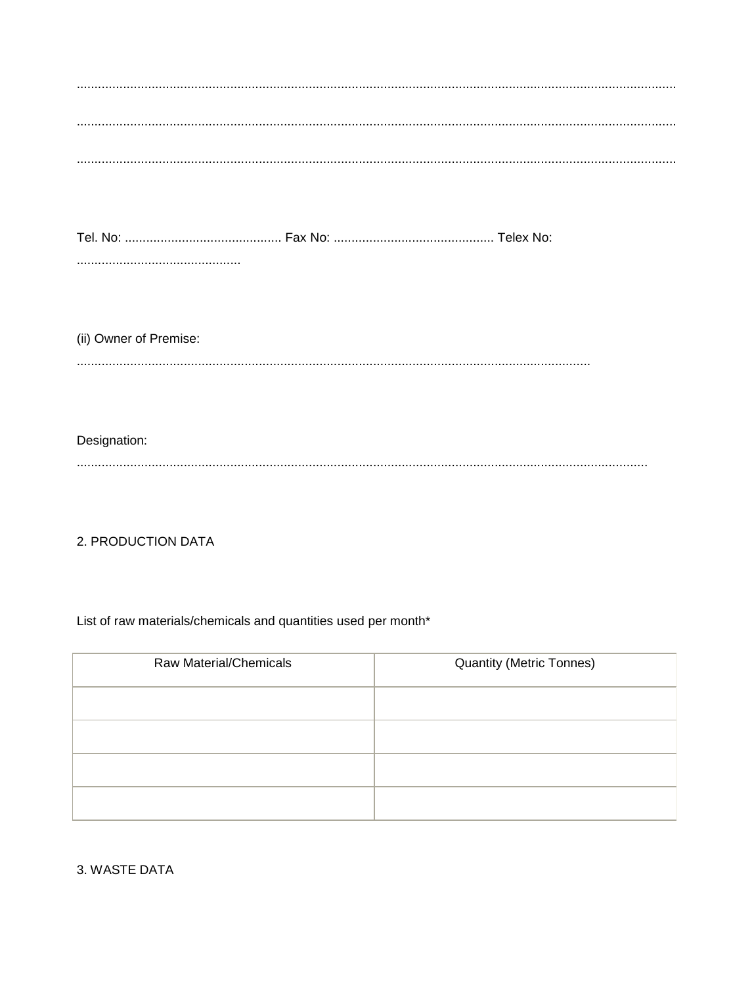| (ii) Owner of Premise: |
|------------------------|
|                        |
|                        |
| Designation:           |
|                        |
|                        |

2. PRODUCTION DATA

List of raw materials/chemicals and quantities used per month\*

| <b>Raw Material/Chemicals</b> | <b>Quantity (Metric Tonnes)</b> |
|-------------------------------|---------------------------------|
|                               |                                 |
|                               |                                 |
|                               |                                 |
|                               |                                 |

3. WASTE DATA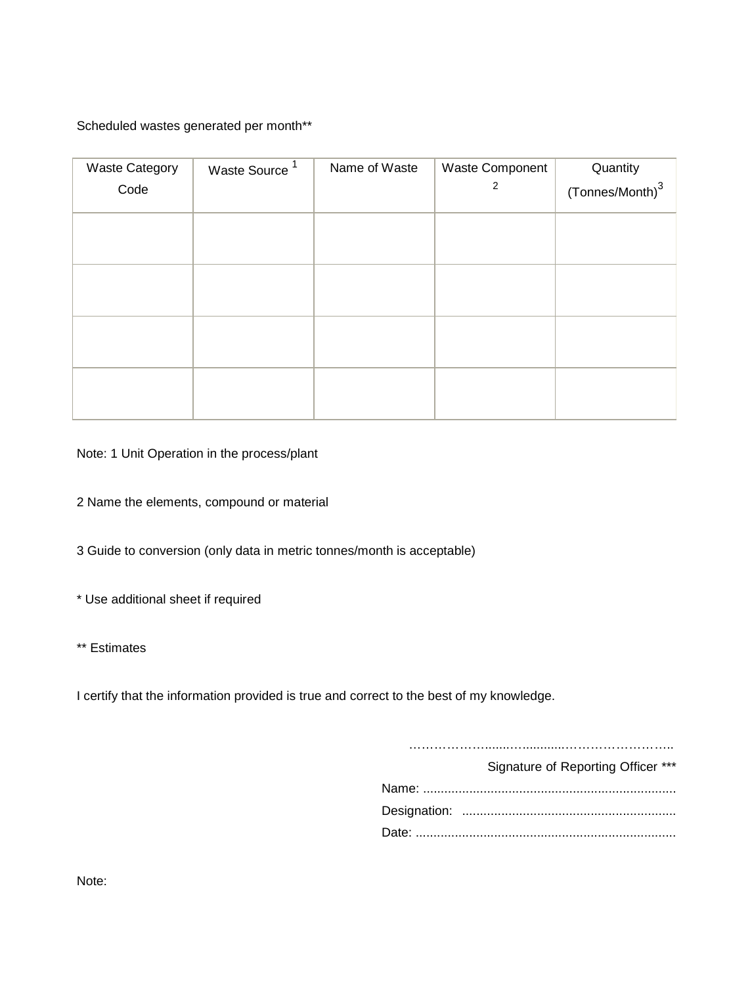Scheduled wastes generated per month\*\*

| <b>Waste Category</b> | Waste Source <sup>1</sup> | Name of Waste | Waste Component | Quantity                    |
|-----------------------|---------------------------|---------------|-----------------|-----------------------------|
| Code                  |                           |               | 2               | (Tonnes/Month) <sup>3</sup> |
|                       |                           |               |                 |                             |
|                       |                           |               |                 |                             |
|                       |                           |               |                 |                             |
|                       |                           |               |                 |                             |
|                       |                           |               |                 |                             |
|                       |                           |               |                 |                             |
|                       |                           |               |                 |                             |
|                       |                           |               |                 |                             |
|                       |                           |               |                 |                             |
|                       |                           |               |                 |                             |
|                       |                           |               |                 |                             |

Note: 1 Unit Operation in the process/plant

2 Name the elements, compound or material

3 Guide to conversion (only data in metric tonnes/month is acceptable)

\* Use additional sheet if required

\*\* Estimates

I certify that the information provided is true and correct to the best of my knowledge.

…………………………………………………………………

Signature of Reporting Officer \*\*\*

Note: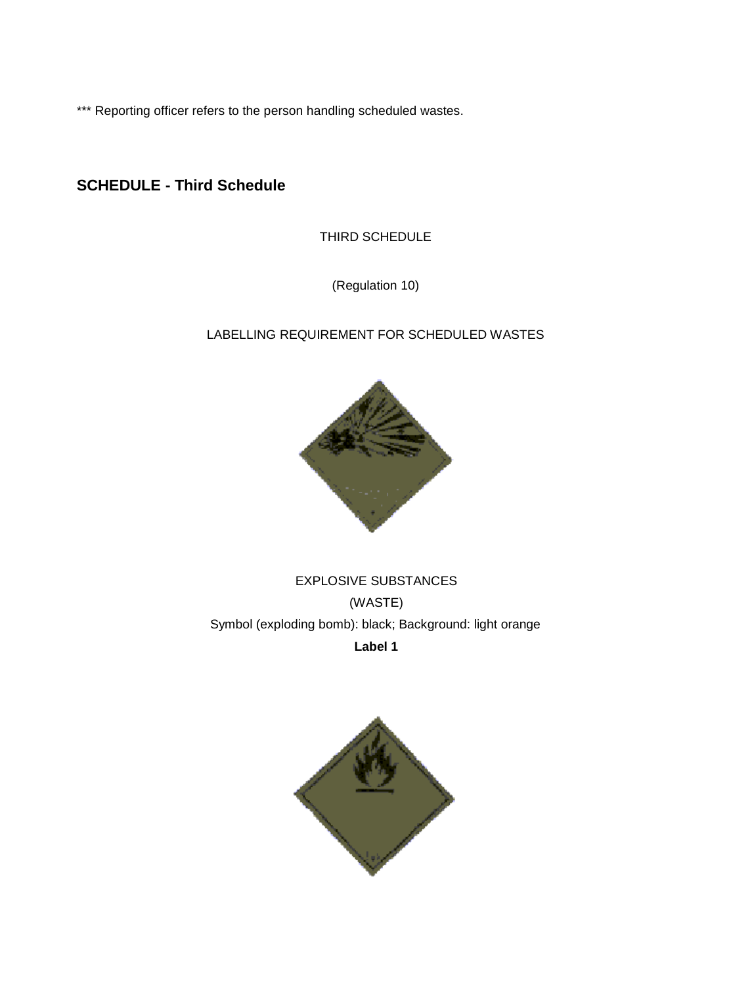\*\*\* Reporting officer refers to the person handling scheduled wastes.

## **SCHEDULE - Third Schedule**

THIRD SCHEDULE

(Regulation 10)

## LABELLING REQUIREMENT FOR SCHEDULED WASTES



EXPLOSIVE SUBSTANCES (WASTE) Symbol (exploding bomb): black; Background: light orange **Label 1**

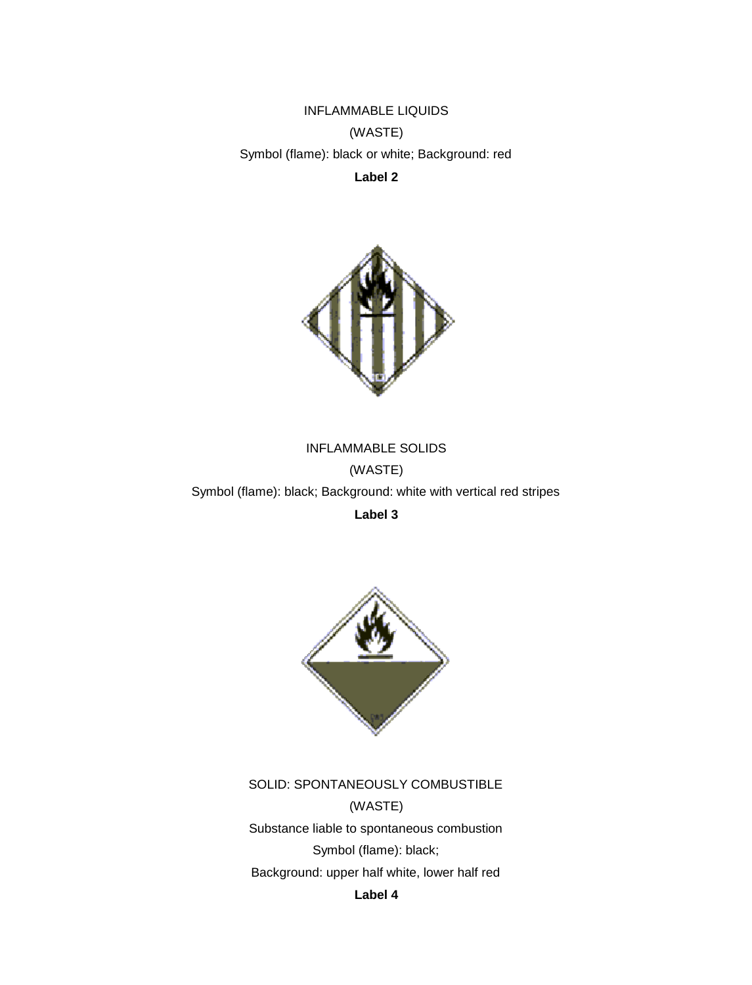INFLAMMABLE LIQUIDS (WASTE) Symbol (flame): black or white; Background: red **Label 2**



INFLAMMABLE SOLIDS (WASTE) Symbol (flame): black; Background: white with vertical red stripes

**Label 3**



SOLID: SPONTANEOUSLY COMBUSTIBLE (WASTE) Substance liable to spontaneous combustion Symbol (flame): black; Background: upper half white, lower half red **Label 4**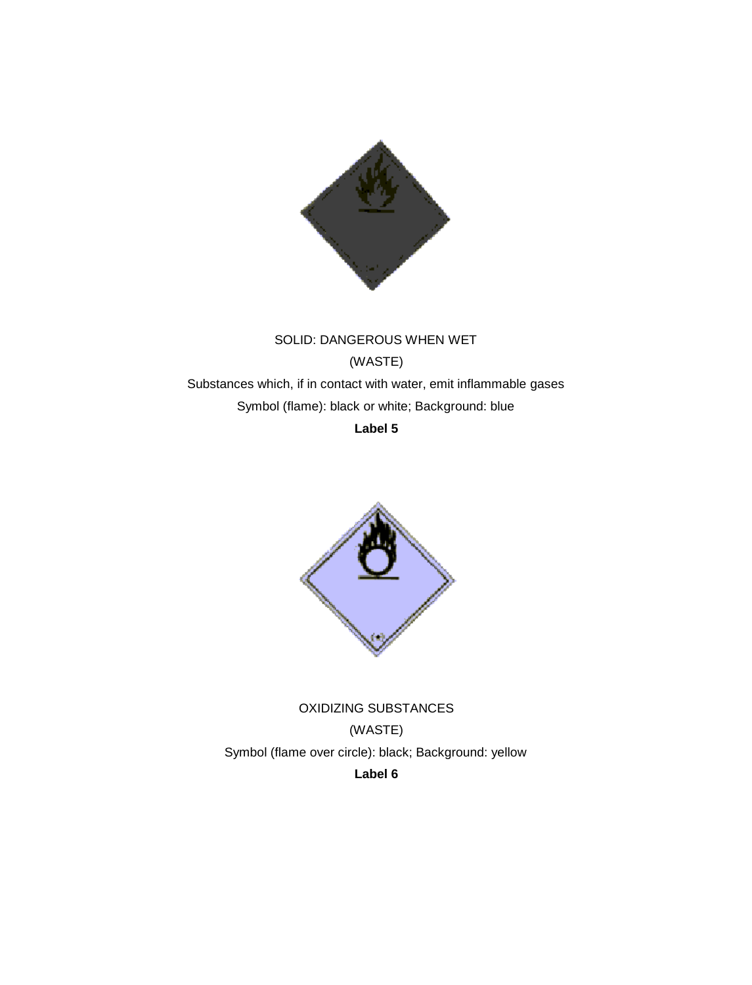

# SOLID: DANGEROUS WHEN WET (WASTE) Substances which, if in contact with water, emit inflammable gases Symbol (flame): black or white; Background: blue

**Label 5**



OXIDIZING SUBSTANCES (WASTE) Symbol (flame over circle): black; Background: yellow **Label 6**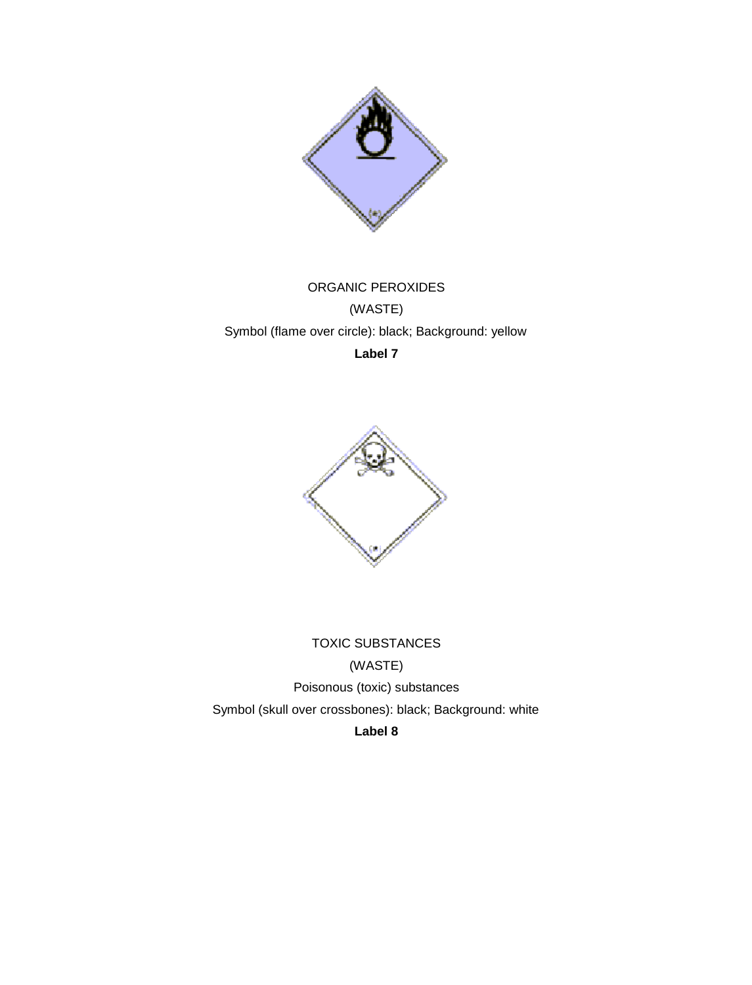

# ORGANIC PEROXIDES (WASTE) Symbol (flame over circle): black; Background: yellow **Label 7**



TOXIC SUBSTANCES (WASTE) Poisonous (toxic) substances Symbol (skull over crossbones): black; Background: white **Label 8**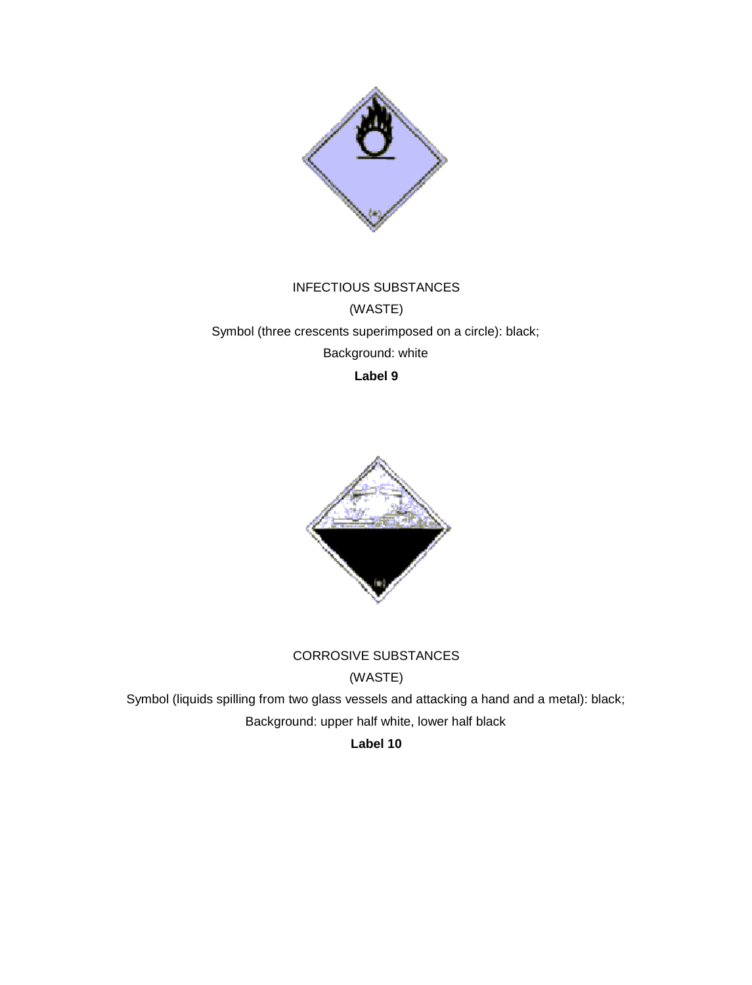

# INFECTIOUS SUBSTANCES (WASTE) Symbol (three crescents superimposed on a circle): black; Background: white **Label 9**



## CORROSIVE SUBSTANCES

(WASTE)

Symbol (liquids spilling from two glass vessels and attacking a hand and a metal): black; Background: upper half white, lower half black

**Label 10**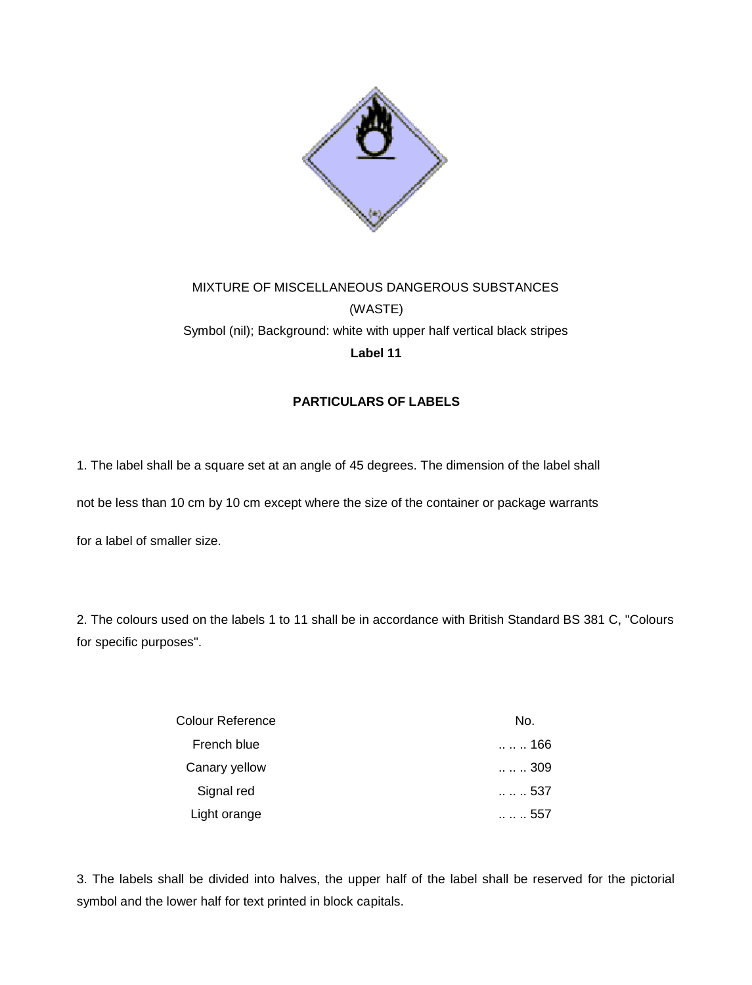

# MIXTURE OF MISCELLANEOUS DANGEROUS SUBSTANCES (WASTE) Symbol (nil); Background: white with upper half vertical black stripes **Label 11**

### **PARTICULARS OF LABELS**

1. The label shall be a square set at an angle of 45 degrees. The dimension of the label shall

not be less than 10 cm by 10 cm except where the size of the container or package warrants

for a label of smaller size.

2. The colours used on the labels 1 to 11 shall be in accordance with British Standard BS 381 C, "Colours for specific purposes".

| Colour Reference | No.           |
|------------------|---------------|
| French blue      | 166           |
| Canary yellow    | 309           |
| Signal red       | 537           |
| Light orange     | $\dots$ . 557 |

3. The labels shall be divided into halves, the upper half of the label shall be reserved for the pictorial symbol and the lower half for text printed in block capitals.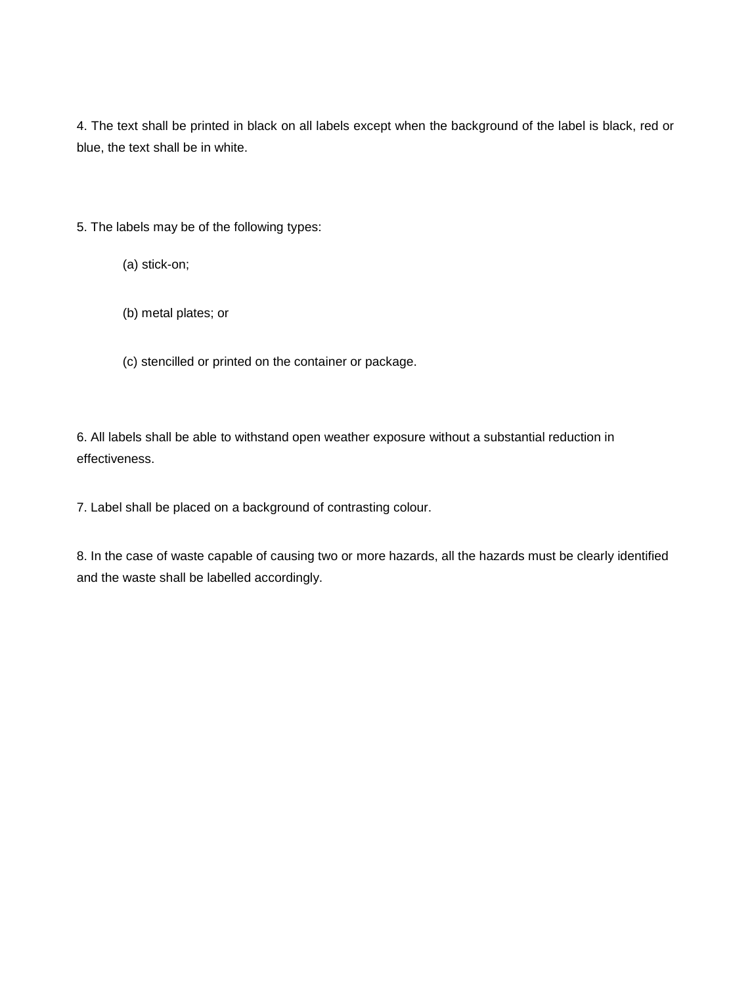4. The text shall be printed in black on all labels except when the background of the label is black, red or blue, the text shall be in white.

5. The labels may be of the following types:

(a) stick-on;

(b) metal plates; or

(c) stencilled or printed on the container or package.

6. All labels shall be able to withstand open weather exposure without a substantial reduction in effectiveness.

7. Label shall be placed on a background of contrasting colour.

8. In the case of waste capable of causing two or more hazards, all the hazards must be clearly identified and the waste shall be labelled accordingly.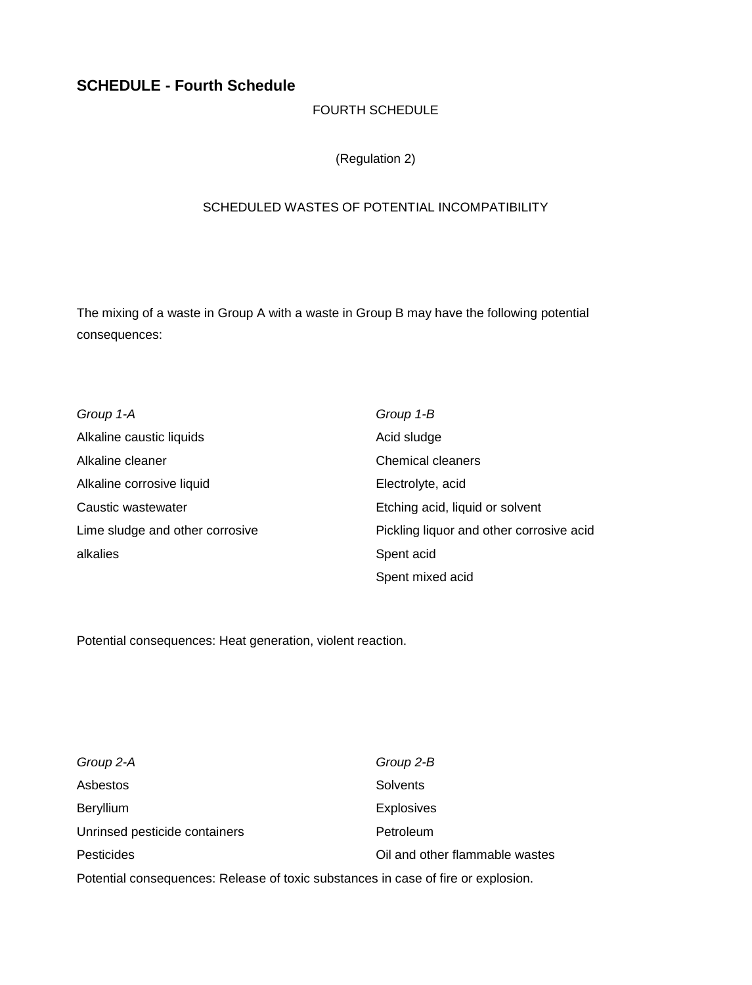## **SCHEDULE - Fourth Schedule**

### FOURTH SCHEDULE

(Regulation 2)

#### SCHEDULED WASTES OF POTENTIAL INCOMPATIBILITY

The mixing of a waste in Group A with a waste in Group B may have the following potential consequences:

| Group 1-A                       | Group 1-B                                |
|---------------------------------|------------------------------------------|
| Alkaline caustic liquids        | Acid sludge                              |
| Alkaline cleaner                | <b>Chemical cleaners</b>                 |
| Alkaline corrosive liquid       | Electrolyte, acid                        |
| Caustic wastewater              | Etching acid, liquid or solvent          |
| Lime sludge and other corrosive | Pickling liquor and other corrosive acid |
| alkalies                        | Spent acid                               |
|                                 | Spent mixed acid                         |

Potential consequences: Heat generation, violent reaction.

| Group 2-A                                                                         | Group 2-B                      |
|-----------------------------------------------------------------------------------|--------------------------------|
| Asbestos                                                                          | Solvents                       |
| Beryllium                                                                         | <b>Explosives</b>              |
| Unrinsed pesticide containers                                                     | Petroleum                      |
| Pesticides                                                                        | Oil and other flammable wastes |
| Potential consequences: Release of toxic substances in case of fire or explosion. |                                |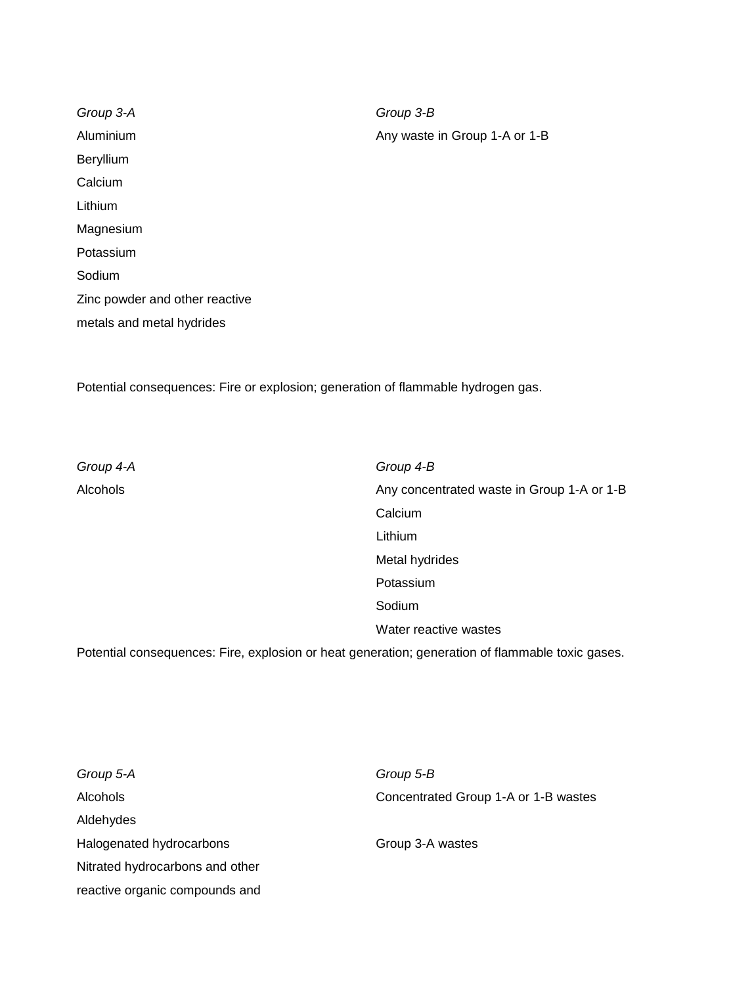*Group 3-A Group 3-B* Aluminium Any waste in Group 1-A or 1-B Beryllium Calcium Lithium Magnesium Potassium Sodium Zinc powder and other reactive metals and metal hydrides

Potential consequences: Fire or explosion; generation of flammable hydrogen gas.

*Group 4-A Group 4-B* Alcohols Any concentrated waste in Group 1-A or 1-B Calcium Lithium Metal hydrides Potassium Sodium Water reactive wastes

Potential consequences: Fire, explosion or heat generation; generation of flammable toxic gases.

| Group 5-A                       | Group 5-B                            |
|---------------------------------|--------------------------------------|
| <b>Alcohols</b>                 | Concentrated Group 1-A or 1-B wastes |
| Aldehydes                       |                                      |
| Halogenated hydrocarbons        | Group 3-A wastes                     |
| Nitrated hydrocarbons and other |                                      |
| reactive organic compounds and  |                                      |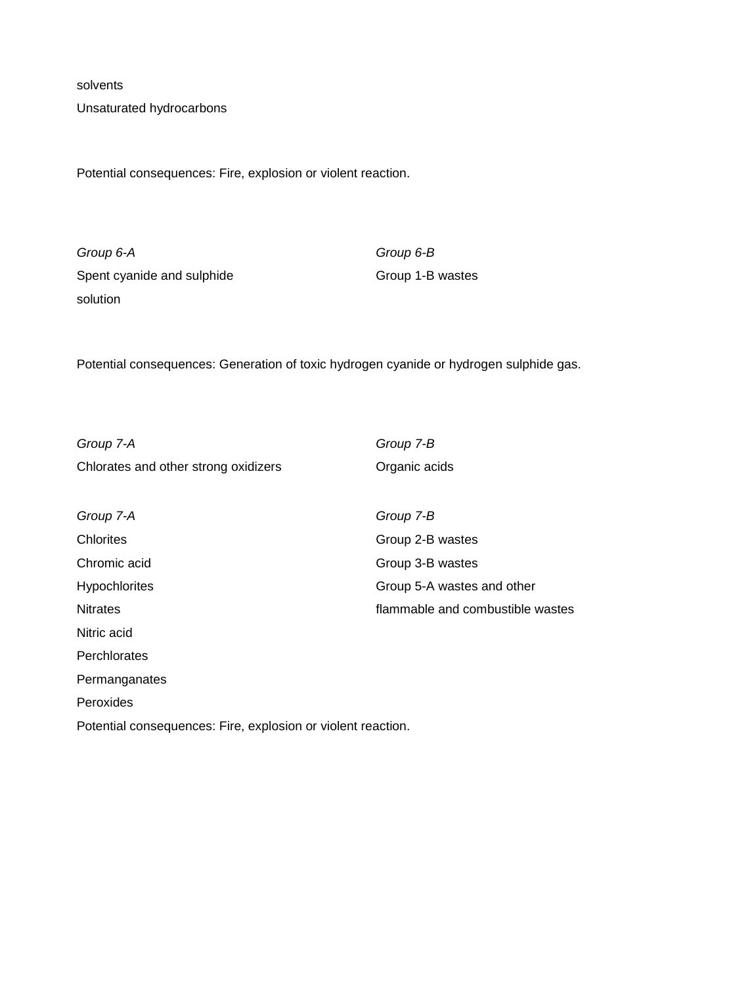solvents

Unsaturated hydrocarbons

Potential consequences: Fire, explosion or violent reaction.

*Group 6-A Group 6-B* Spent cyanide and sulphide Group 1-B wastes solution

Potential consequences: Generation of toxic hydrogen cyanide or hydrogen sulphide gas.

*Group 7-A Group 7-B* Chlorates and other strong oxidizers **Chlorates** Organic acids *Group 7-A Group 7-B* Chlorites Group 2-B wastes Chromic acid Group 3-B wastes Hypochlorites **Group 5-A** wastes and other Nitrates flammable and combustible wastes Nitric acid **Perchlorates** Permanganates Peroxides Potential consequences: Fire, explosion or violent reaction.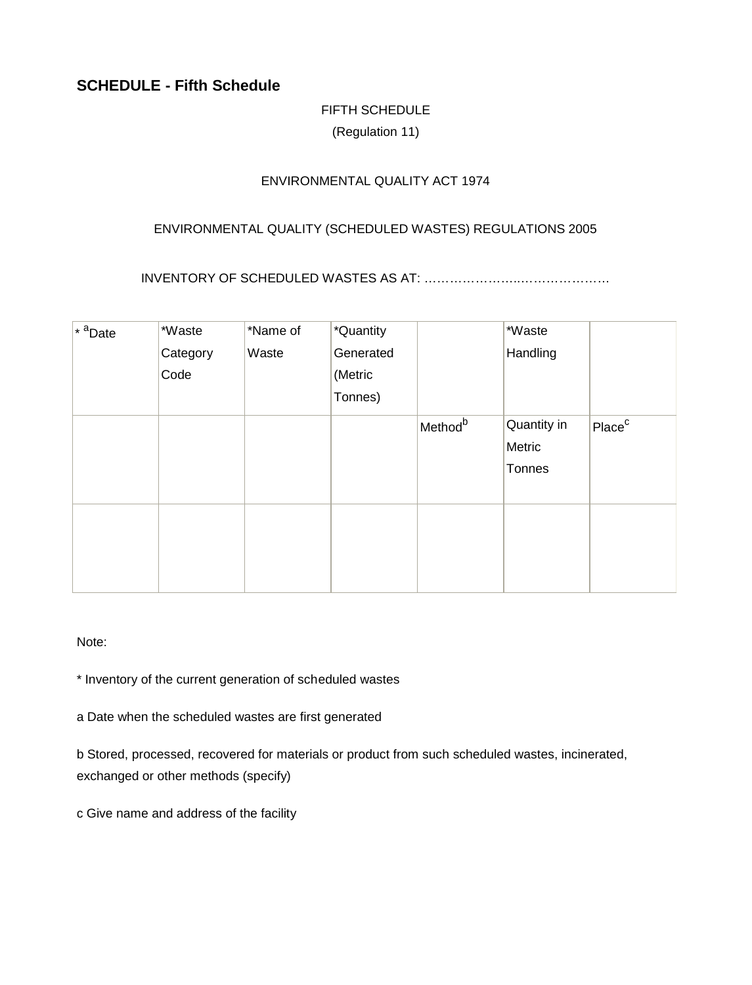## **SCHEDULE - Fifth Schedule**

## FIFTH SCHEDULE

(Regulation 11)

### ENVIRONMENTAL QUALITY ACT 1974

### ENVIRONMENTAL QUALITY (SCHEDULED WASTES) REGULATIONS 2005

INVENTORY OF SCHEDULED WASTES AS AT: …………………..…………………

| $*$ <sup>a</sup> Date | *Waste   | *Name of | *Quantity |                     | *Waste      |                    |
|-----------------------|----------|----------|-----------|---------------------|-------------|--------------------|
|                       | Category | Waste    | Generated |                     | Handling    |                    |
|                       | Code     |          | (Metric   |                     |             |                    |
|                       |          |          | Tonnes)   |                     |             |                    |
|                       |          |          |           | Method <sup>b</sup> | Quantity in | Place <sup>c</sup> |
|                       |          |          |           |                     | Metric      |                    |
|                       |          |          |           |                     | Tonnes      |                    |
|                       |          |          |           |                     |             |                    |
|                       |          |          |           |                     |             |                    |
|                       |          |          |           |                     |             |                    |
|                       |          |          |           |                     |             |                    |
|                       |          |          |           |                     |             |                    |

Note:

\* Inventory of the current generation of scheduled wastes

a Date when the scheduled wastes are first generated

b Stored, processed, recovered for materials or product from such scheduled wastes, incinerated, exchanged or other methods (specify)

c Give name and address of the facility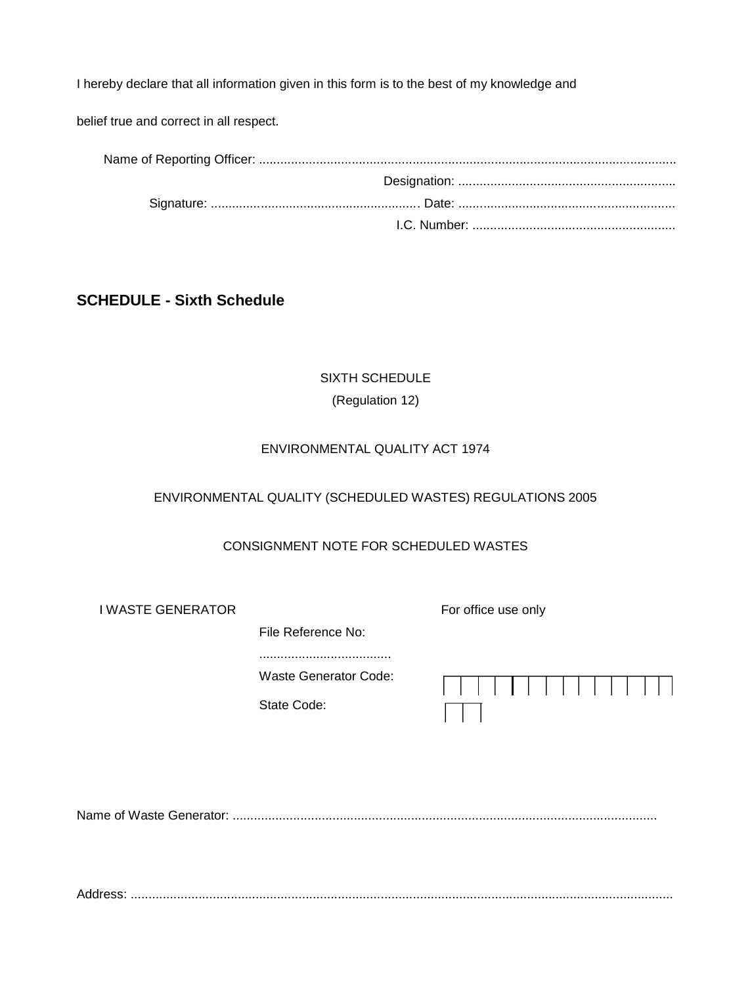I hereby declare that all information given in this form is to the best of my knowledge and

belief true and correct in all respect.

## **SCHEDULE - Sixth Schedule**

# SIXTH SCHEDULE (Regulation 12)

#### ENVIRONMENTAL QUALITY ACT 1974

### ENVIRONMENTAL QUALITY (SCHEDULED WASTES) REGULATIONS 2005

### CONSIGNMENT NOTE FOR SCHEDULED WASTES

I WASTE GENERATOR For office use only

File Reference No:

.....................................

Waste Generator Code:

State Code:

Name of Waste Generator: .......................................................................................................................

Address: ........................................................................................................................................................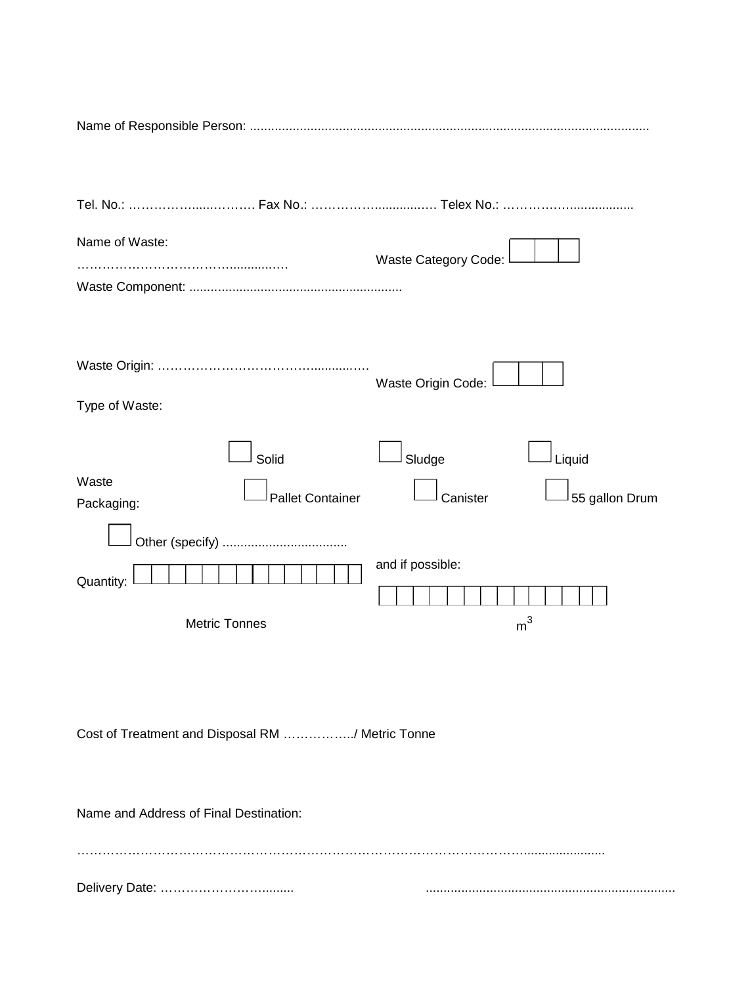| Name of Waste:                                          | Waste Category Code:                           |
|---------------------------------------------------------|------------------------------------------------|
| Type of Waste:                                          | Waste Origin Code:                             |
| Solid<br>Waste<br><b>Pallet Container</b><br>Packaging: | Sludge<br>Liquid<br>55 gallon Drum<br>Canister |
| Quantity:<br><b>Metric Tonnes</b>                       | and if possible:<br>m <sup>3</sup>             |
| Cost of Treatment and Disposal RM / Metric Tonne        |                                                |

…………………………………………………………………………………………….......................

Delivery Date: ……………………......... ......................................................................

Name and Address of Final Destination: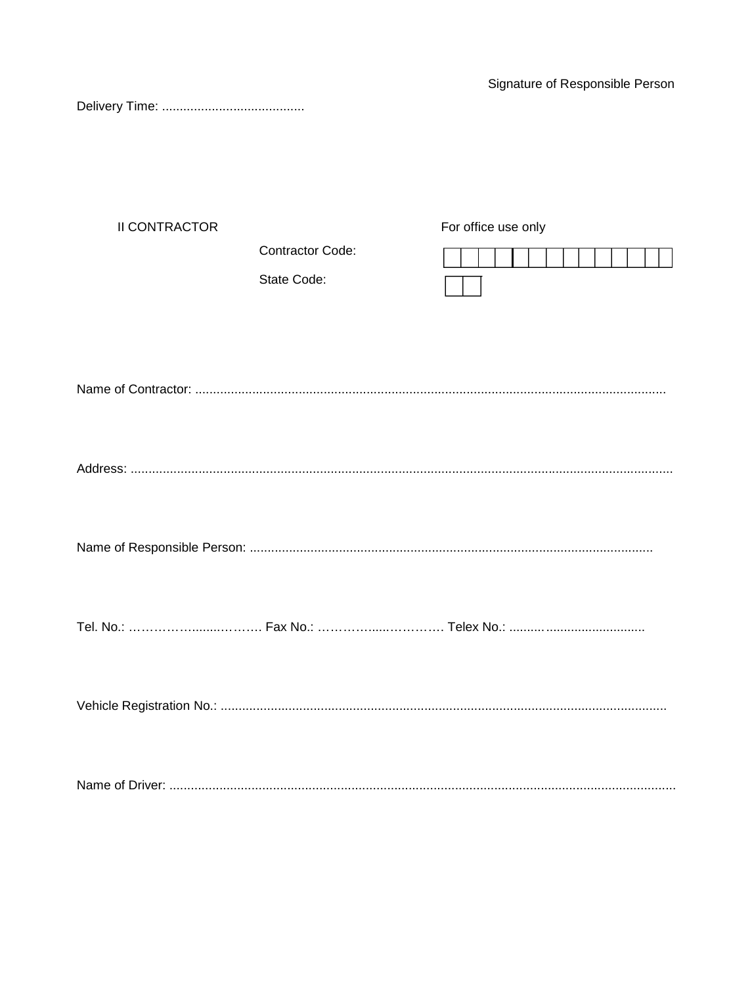Signature of Responsible Person

| <b>II CONTRACTOR</b> |                  | For office use only |
|----------------------|------------------|---------------------|
|                      | Contractor Code: |                     |
|                      | State Code:      |                     |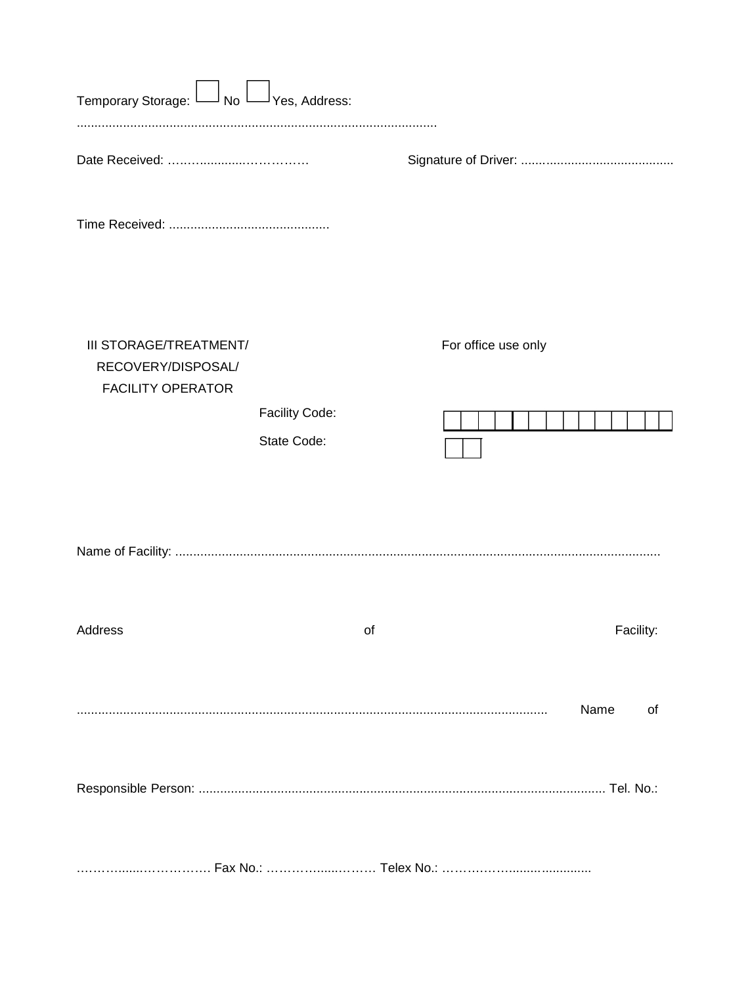| Temporary Storage: L<br>」No L                                            | $\Box$ Yes, Address:          |    |                     |            |
|--------------------------------------------------------------------------|-------------------------------|----|---------------------|------------|
|                                                                          |                               |    |                     |            |
|                                                                          |                               |    |                     |            |
| III STORAGE/TREATMENT/<br>RECOVERY/DISPOSAL/<br><b>FACILITY OPERATOR</b> | Facility Code:<br>State Code: |    | For office use only |            |
|                                                                          |                               |    |                     |            |
| Address                                                                  |                               | of |                     | Facility:  |
|                                                                          |                               |    |                     | Name<br>of |
|                                                                          |                               |    |                     |            |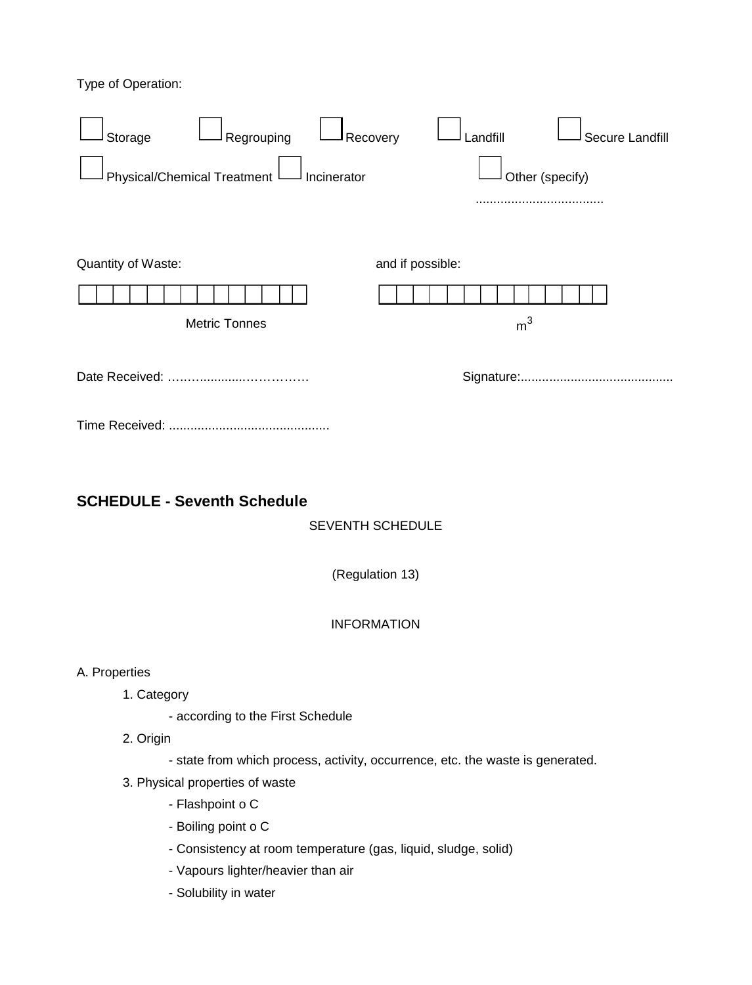Type of Operation:



- Boiling point o C
- Consistency at room temperature (gas, liquid, sludge, solid)
- Vapours lighter/heavier than air
- Solubility in water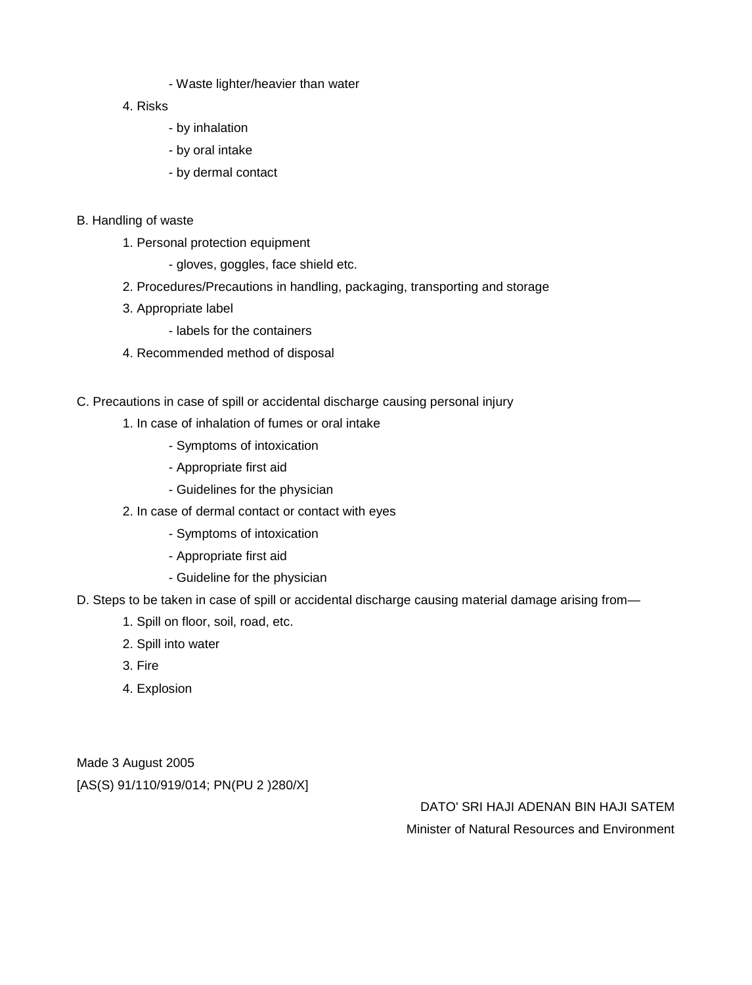- Waste lighter/heavier than water
- 4. Risks
	- by inhalation
	- by oral intake
	- by dermal contact
- B. Handling of waste
	- 1. Personal protection equipment
		- gloves, goggles, face shield etc.
	- 2. Procedures/Precautions in handling, packaging, transporting and storage
	- 3. Appropriate label
		- labels for the containers
	- 4. Recommended method of disposal
- C. Precautions in case of spill or accidental discharge causing personal injury
	- 1. In case of inhalation of fumes or oral intake
		- Symptoms of intoxication
		- Appropriate first aid
		- Guidelines for the physician
	- 2. In case of dermal contact or contact with eyes
		- Symptoms of intoxication
		- Appropriate first aid
		- Guideline for the physician
- D. Steps to be taken in case of spill or accidental discharge causing material damage arising from—
	- 1. Spill on floor, soil, road, etc.
	- 2. Spill into water
	- 3. Fire
	- 4. Explosion

Made 3 August 2005 [AS(S) 91/110/919/014; PN(PU 2 )280/X]

> DATO' SRI HAJI ADENAN BIN HAJI SATEM Minister of Natural Resources and Environment